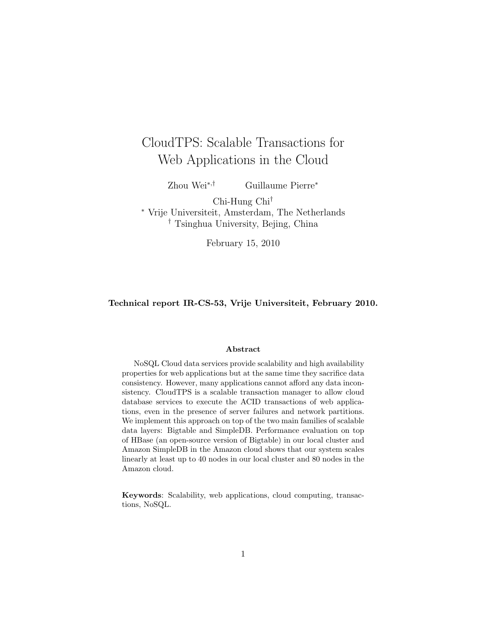# CloudTPS: Scalable Transactions for Web Applications in the Cloud

Zhou Wei<sup>∗</sup>,† Guillaume Pierre<sup>∗</sup>

Chi-Hung Chi†

<sup>∗</sup> Vrije Universiteit, Amsterdam, The Netherlands † Tsinghua University, Bejing, China

February 15, 2010

#### Technical report IR-CS-53, Vrije Universiteit, February 2010.

#### Abstract

NoSQL Cloud data services provide scalability and high availability properties for web applications but at the same time they sacrifice data consistency. However, many applications cannot afford any data inconsistency. CloudTPS is a scalable transaction manager to allow cloud database services to execute the ACID transactions of web applications, even in the presence of server failures and network partitions. We implement this approach on top of the two main families of scalable data layers: Bigtable and SimpleDB. Performance evaluation on top of HBase (an open-source version of Bigtable) in our local cluster and Amazon SimpleDB in the Amazon cloud shows that our system scales linearly at least up to 40 nodes in our local cluster and 80 nodes in the Amazon cloud.

Keywords: Scalability, web applications, cloud computing, transactions, NoSQL.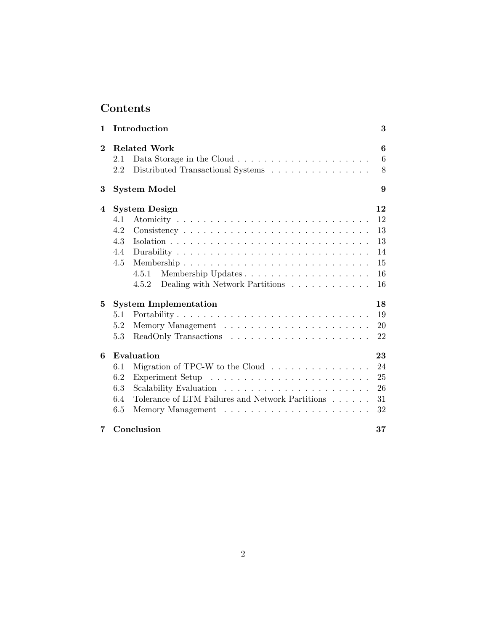## Contents

| 1        | Introduction                                                                | 3  |  |  |  |
|----------|-----------------------------------------------------------------------------|----|--|--|--|
| $\bf{2}$ | <b>Related Work</b>                                                         | 6  |  |  |  |
|          | 2.1                                                                         | 6  |  |  |  |
|          | 2.2<br>Distributed Transactional Systems                                    | 8  |  |  |  |
| 3        | <b>System Model</b><br>9                                                    |    |  |  |  |
| 4        | <b>System Design</b>                                                        | 12 |  |  |  |
|          | 4.1                                                                         | 12 |  |  |  |
|          | 4.2                                                                         | 13 |  |  |  |
|          | 4.3                                                                         | 13 |  |  |  |
|          | 4.4                                                                         | 14 |  |  |  |
|          | 4.5                                                                         | 15 |  |  |  |
|          | Membership Updates<br>4.5.1                                                 | 16 |  |  |  |
|          | Dealing with Network Partitions<br>4.5.2                                    | 16 |  |  |  |
| 5        | <b>System Implementation</b>                                                | 18 |  |  |  |
|          | 5.1                                                                         | 19 |  |  |  |
|          | 5.2                                                                         | 20 |  |  |  |
|          | 5.3                                                                         | 22 |  |  |  |
| 6        | Evaluation                                                                  | 23 |  |  |  |
|          | Migration of TPC-W to the Cloud $\ldots \ldots \ldots \ldots \ldots$<br>6.1 | 24 |  |  |  |
|          | 6.2                                                                         | 25 |  |  |  |
|          | 6.3                                                                         | 26 |  |  |  |
|          | Tolerance of LTM Failures and Network Partitions<br>6.4                     | 31 |  |  |  |
|          | 6.5                                                                         | 32 |  |  |  |
| 7        | Conclusion                                                                  | 37 |  |  |  |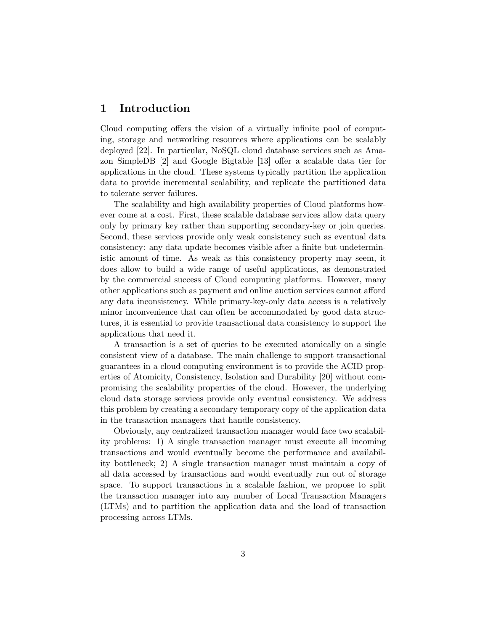## 1 Introduction

Cloud computing offers the vision of a virtually infinite pool of computing, storage and networking resources where applications can be scalably deployed [22]. In particular, NoSQL cloud database services such as Amazon SimpleDB [2] and Google Bigtable [13] offer a scalable data tier for applications in the cloud. These systems typically partition the application data to provide incremental scalability, and replicate the partitioned data to tolerate server failures.

The scalability and high availability properties of Cloud platforms however come at a cost. First, these scalable database services allow data query only by primary key rather than supporting secondary-key or join queries. Second, these services provide only weak consistency such as eventual data consistency: any data update becomes visible after a finite but undeterministic amount of time. As weak as this consistency property may seem, it does allow to build a wide range of useful applications, as demonstrated by the commercial success of Cloud computing platforms. However, many other applications such as payment and online auction services cannot afford any data inconsistency. While primary-key-only data access is a relatively minor inconvenience that can often be accommodated by good data structures, it is essential to provide transactional data consistency to support the applications that need it.

A transaction is a set of queries to be executed atomically on a single consistent view of a database. The main challenge to support transactional guarantees in a cloud computing environment is to provide the ACID properties of Atomicity, Consistency, Isolation and Durability [20] without compromising the scalability properties of the cloud. However, the underlying cloud data storage services provide only eventual consistency. We address this problem by creating a secondary temporary copy of the application data in the transaction managers that handle consistency.

Obviously, any centralized transaction manager would face two scalability problems: 1) A single transaction manager must execute all incoming transactions and would eventually become the performance and availability bottleneck; 2) A single transaction manager must maintain a copy of all data accessed by transactions and would eventually run out of storage space. To support transactions in a scalable fashion, we propose to split the transaction manager into any number of Local Transaction Managers (LTMs) and to partition the application data and the load of transaction processing across LTMs.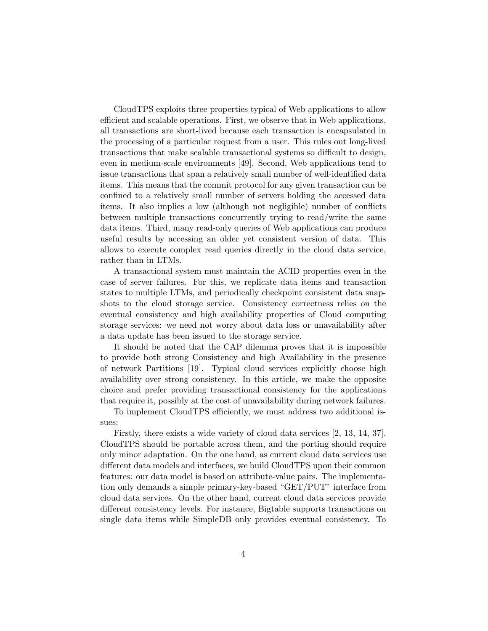CloudTPS exploits three properties typical of Web applications to allow efficient and scalable operations. First, we observe that in Web applications, all transactions are short-lived because each transaction is encapsulated in the processing of a particular request from a user. This rules out long-lived transactions that make scalable transactional systems so difficult to design, even in medium-scale environments [49]. Second, Web applications tend to issue transactions that span a relatively small number of well-identified data items. This means that the commit protocol for any given transaction can be confined to a relatively small number of servers holding the accessed data items. It also implies a low (although not negligible) number of conflicts between multiple transactions concurrently trying to read/write the same data items. Third, many read-only queries of Web applications can produce useful results by accessing an older yet consistent version of data. This allows to execute complex read queries directly in the cloud data service, rather than in LTMs.

A transactional system must maintain the ACID properties even in the case of server failures. For this, we replicate data items and transaction states to multiple LTMs, and periodically checkpoint consistent data snapshots to the cloud storage service. Consistency correctness relies on the eventual consistency and high availability properties of Cloud computing storage services: we need not worry about data loss or unavailability after a data update has been issued to the storage service.

It should be noted that the CAP dilemma proves that it is impossible to provide both strong Consistency and high Availability in the presence of network Partitions [19]. Typical cloud services explicitly choose high availability over strong consistency. In this article, we make the opposite choice and prefer providing transactional consistency for the applications that require it, possibly at the cost of unavailability during network failures.

To implement CloudTPS efficiently, we must address two additional issues:

Firstly, there exists a wide variety of cloud data services [2, 13, 14, 37]. CloudTPS should be portable across them, and the porting should require only minor adaptation. On the one hand, as current cloud data services use different data models and interfaces, we build CloudTPS upon their common features: our data model is based on attribute-value pairs. The implementation only demands a simple primary-key-based "GET/PUT" interface from cloud data services. On the other hand, current cloud data services provide different consistency levels. For instance, Bigtable supports transactions on single data items while SimpleDB only provides eventual consistency. To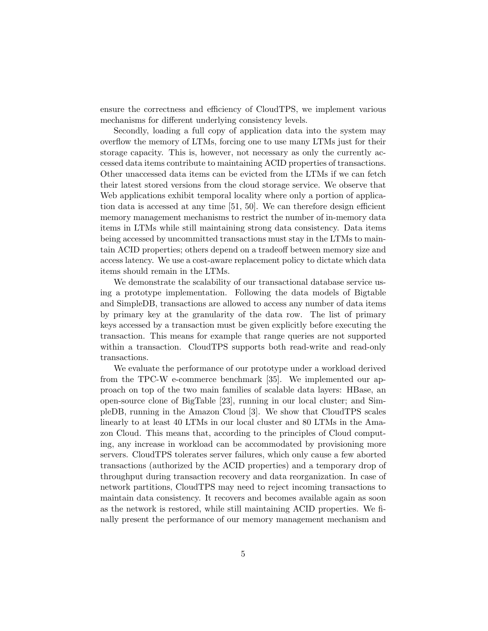ensure the correctness and efficiency of CloudTPS, we implement various mechanisms for different underlying consistency levels.

Secondly, loading a full copy of application data into the system may overflow the memory of LTMs, forcing one to use many LTMs just for their storage capacity. This is, however, not necessary as only the currently accessed data items contribute to maintaining ACID properties of transactions. Other unaccessed data items can be evicted from the LTMs if we can fetch their latest stored versions from the cloud storage service. We observe that Web applications exhibit temporal locality where only a portion of application data is accessed at any time [51, 50]. We can therefore design efficient memory management mechanisms to restrict the number of in-memory data items in LTMs while still maintaining strong data consistency. Data items being accessed by uncommitted transactions must stay in the LTMs to maintain ACID properties; others depend on a tradeoff between memory size and access latency. We use a cost-aware replacement policy to dictate which data items should remain in the LTMs.

We demonstrate the scalability of our transactional database service using a prototype implementation. Following the data models of Bigtable and SimpleDB, transactions are allowed to access any number of data items by primary key at the granularity of the data row. The list of primary keys accessed by a transaction must be given explicitly before executing the transaction. This means for example that range queries are not supported within a transaction. CloudTPS supports both read-write and read-only transactions.

We evaluate the performance of our prototype under a workload derived from the TPC-W e-commerce benchmark [35]. We implemented our approach on top of the two main families of scalable data layers: HBase, an open-source clone of BigTable [23], running in our local cluster; and SimpleDB, running in the Amazon Cloud [3]. We show that CloudTPS scales linearly to at least 40 LTMs in our local cluster and 80 LTMs in the Amazon Cloud. This means that, according to the principles of Cloud computing, any increase in workload can be accommodated by provisioning more servers. CloudTPS tolerates server failures, which only cause a few aborted transactions (authorized by the ACID properties) and a temporary drop of throughput during transaction recovery and data reorganization. In case of network partitions, CloudTPS may need to reject incoming transactions to maintain data consistency. It recovers and becomes available again as soon as the network is restored, while still maintaining ACID properties. We finally present the performance of our memory management mechanism and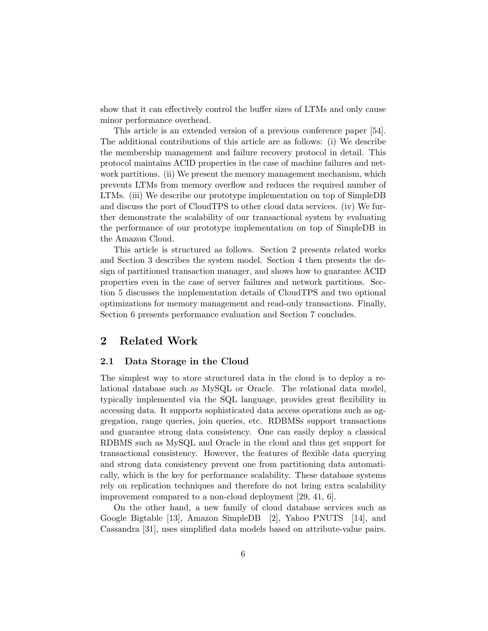show that it can effectively control the buffer sizes of LTMs and only cause minor performance overhead.

This article is an extended version of a previous conference paper [54]. The additional contributions of this article are as follows: (i) We describe the membership management and failure recovery protocol in detail. This protocol maintains ACID properties in the case of machine failures and network partitions. (ii) We present the memory management mechanism, which prevents LTMs from memory overflow and reduces the required number of LTMs. (iii) We describe our prototype implementation on top of SimpleDB and discuss the port of CloudTPS to other cloud data services. (iv) We further demonstrate the scalability of our transactional system by evaluating the performance of our prototype implementation on top of SimpleDB in the Amazon Cloud.

This article is structured as follows. Section 2 presents related works and Section 3 describes the system model. Section 4 then presents the design of partitioned transaction manager, and shows how to guarantee ACID properties even in the case of server failures and network partitions. Section 5 discusses the implementation details of CloudTPS and two optional optimizations for memory management and read-only transactions. Finally, Section 6 presents performance evaluation and Section 7 concludes.

## 2 Related Work

#### 2.1 Data Storage in the Cloud

The simplest way to store structured data in the cloud is to deploy a relational database such as MySQL or Oracle. The relational data model, typically implemented via the SQL language, provides great flexibility in accessing data. It supports sophisticated data access operations such as aggregation, range queries, join queries, etc. RDBMSs support transactions and guarantee strong data consistency. One can easily deploy a classical RDBMS such as MySQL and Oracle in the cloud and thus get support for transactional consistency. However, the features of flexible data querying and strong data consistency prevent one from partitioning data automatically, which is the key for performance scalability. These database systems rely on replication techniques and therefore do not bring extra scalability improvement compared to a non-cloud deployment [29, 41, 6].

On the other hand, a new family of cloud database services such as Google Bigtable [13], Amazon SimpleDB [2], Yahoo PNUTS [14], and Cassandra [31], uses simplified data models based on attribute-value pairs.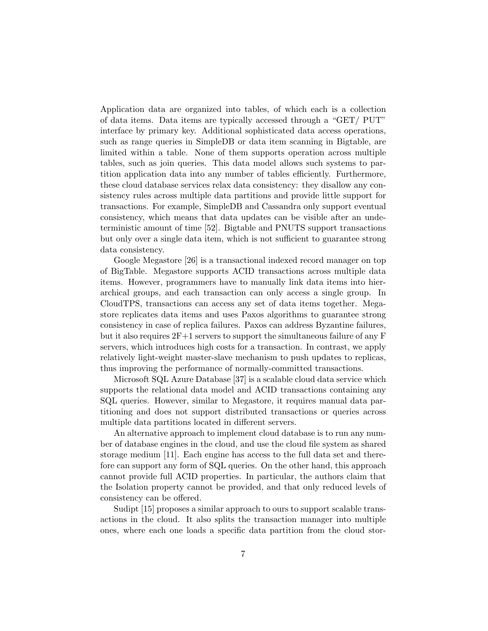Application data are organized into tables, of which each is a collection of data items. Data items are typically accessed through a "GET/ PUT" interface by primary key. Additional sophisticated data access operations, such as range queries in SimpleDB or data item scanning in Bigtable, are limited within a table. None of them supports operation across multiple tables, such as join queries. This data model allows such systems to partition application data into any number of tables efficiently. Furthermore, these cloud database services relax data consistency: they disallow any consistency rules across multiple data partitions and provide little support for transactions. For example, SimpleDB and Cassandra only support eventual consistency, which means that data updates can be visible after an undeterministic amount of time [52]. Bigtable and PNUTS support transactions but only over a single data item, which is not sufficient to guarantee strong data consistency.

Google Megastore [26] is a transactional indexed record manager on top of BigTable. Megastore supports ACID transactions across multiple data items. However, programmers have to manually link data items into hierarchical groups, and each transaction can only access a single group. In CloudTPS, transactions can access any set of data items together. Megastore replicates data items and uses Paxos algorithms to guarantee strong consistency in case of replica failures. Paxos can address Byzantine failures, but it also requires  $2F+1$  servers to support the simultaneous failure of any F servers, which introduces high costs for a transaction. In contrast, we apply relatively light-weight master-slave mechanism to push updates to replicas, thus improving the performance of normally-committed transactions.

Microsoft SQL Azure Database [37] is a scalable cloud data service which supports the relational data model and ACID transactions containing any SQL queries. However, similar to Megastore, it requires manual data partitioning and does not support distributed transactions or queries across multiple data partitions located in different servers.

An alternative approach to implement cloud database is to run any number of database engines in the cloud, and use the cloud file system as shared storage medium [11]. Each engine has access to the full data set and therefore can support any form of SQL queries. On the other hand, this approach cannot provide full ACID properties. In particular, the authors claim that the Isolation property cannot be provided, and that only reduced levels of consistency can be offered.

Sudipt [15] proposes a similar approach to ours to support scalable transactions in the cloud. It also splits the transaction manager into multiple ones, where each one loads a specific data partition from the cloud stor-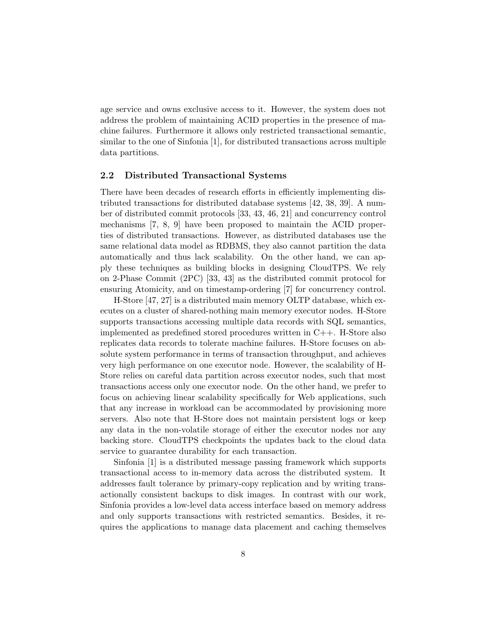age service and owns exclusive access to it. However, the system does not address the problem of maintaining ACID properties in the presence of machine failures. Furthermore it allows only restricted transactional semantic, similar to the one of Sinfonia [1], for distributed transactions across multiple data partitions.

#### 2.2 Distributed Transactional Systems

There have been decades of research efforts in efficiently implementing distributed transactions for distributed database systems [42, 38, 39]. A number of distributed commit protocols [33, 43, 46, 21] and concurrency control mechanisms [7, 8, 9] have been proposed to maintain the ACID properties of distributed transactions. However, as distributed databases use the same relational data model as RDBMS, they also cannot partition the data automatically and thus lack scalability. On the other hand, we can apply these techniques as building blocks in designing CloudTPS. We rely on 2-Phase Commit (2PC) [33, 43] as the distributed commit protocol for ensuring Atomicity, and on timestamp-ordering [7] for concurrency control.

H-Store [47, 27] is a distributed main memory OLTP database, which executes on a cluster of shared-nothing main memory executor nodes. H-Store supports transactions accessing multiple data records with SQL semantics, implemented as predefined stored procedures written in C++. H-Store also replicates data records to tolerate machine failures. H-Store focuses on absolute system performance in terms of transaction throughput, and achieves very high performance on one executor node. However, the scalability of H-Store relies on careful data partition across executor nodes, such that most transactions access only one executor node. On the other hand, we prefer to focus on achieving linear scalability specifically for Web applications, such that any increase in workload can be accommodated by provisioning more servers. Also note that H-Store does not maintain persistent logs or keep any data in the non-volatile storage of either the executor nodes nor any backing store. CloudTPS checkpoints the updates back to the cloud data service to guarantee durability for each transaction.

Sinfonia [1] is a distributed message passing framework which supports transactional access to in-memory data across the distributed system. It addresses fault tolerance by primary-copy replication and by writing transactionally consistent backups to disk images. In contrast with our work, Sinfonia provides a low-level data access interface based on memory address and only supports transactions with restricted semantics. Besides, it requires the applications to manage data placement and caching themselves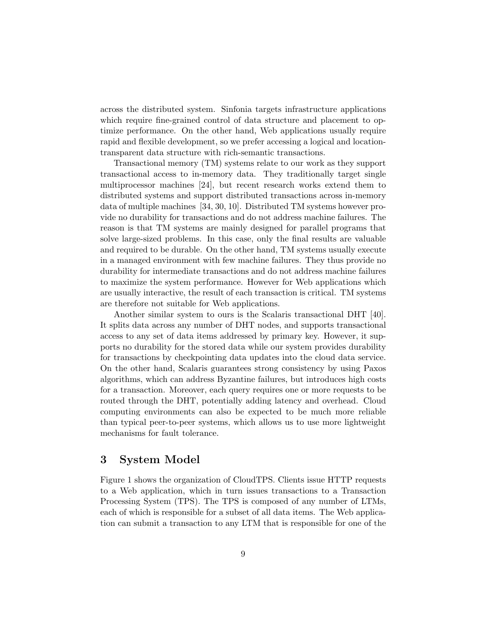across the distributed system. Sinfonia targets infrastructure applications which require fine-grained control of data structure and placement to optimize performance. On the other hand, Web applications usually require rapid and flexible development, so we prefer accessing a logical and locationtransparent data structure with rich-semantic transactions.

Transactional memory (TM) systems relate to our work as they support transactional access to in-memory data. They traditionally target single multiprocessor machines [24], but recent research works extend them to distributed systems and support distributed transactions across in-memory data of multiple machines [34, 30, 10]. Distributed TM systems however provide no durability for transactions and do not address machine failures. The reason is that TM systems are mainly designed for parallel programs that solve large-sized problems. In this case, only the final results are valuable and required to be durable. On the other hand, TM systems usually execute in a managed environment with few machine failures. They thus provide no durability for intermediate transactions and do not address machine failures to maximize the system performance. However for Web applications which are usually interactive, the result of each transaction is critical. TM systems are therefore not suitable for Web applications.

Another similar system to ours is the Scalaris transactional DHT [40]. It splits data across any number of DHT nodes, and supports transactional access to any set of data items addressed by primary key. However, it supports no durability for the stored data while our system provides durability for transactions by checkpointing data updates into the cloud data service. On the other hand, Scalaris guarantees strong consistency by using Paxos algorithms, which can address Byzantine failures, but introduces high costs for a transaction. Moreover, each query requires one or more requests to be routed through the DHT, potentially adding latency and overhead. Cloud computing environments can also be expected to be much more reliable than typical peer-to-peer systems, which allows us to use more lightweight mechanisms for fault tolerance.

## 3 System Model

Figure 1 shows the organization of CloudTPS. Clients issue HTTP requests to a Web application, which in turn issues transactions to a Transaction Processing System (TPS). The TPS is composed of any number of LTMs, each of which is responsible for a subset of all data items. The Web application can submit a transaction to any LTM that is responsible for one of the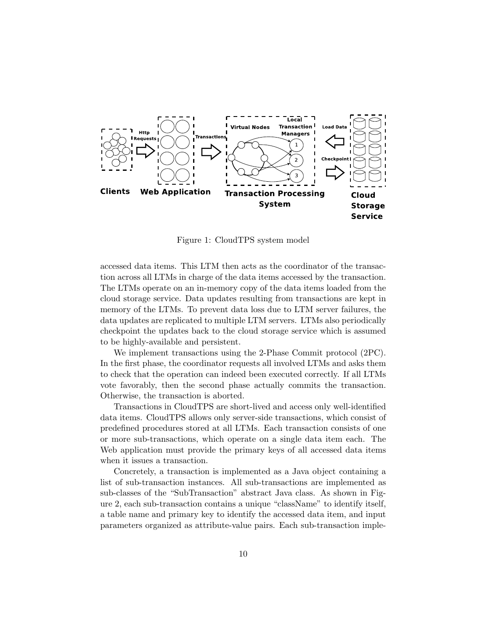

Figure 1: CloudTPS system model

accessed data items. This LTM then acts as the coordinator of the transaction across all LTMs in charge of the data items accessed by the transaction. The LTMs operate on an in-memory copy of the data items loaded from the cloud storage service. Data updates resulting from transactions are kept in memory of the LTMs. To prevent data loss due to LTM server failures, the data updates are replicated to multiple LTM servers. LTMs also periodically checkpoint the updates back to the cloud storage service which is assumed to be highly-available and persistent.

We implement transactions using the 2-Phase Commit protocol (2PC). In the first phase, the coordinator requests all involved LTMs and asks them to check that the operation can indeed been executed correctly. If all LTMs vote favorably, then the second phase actually commits the transaction. Otherwise, the transaction is aborted.

Transactions in CloudTPS are short-lived and access only well-identified data items. CloudTPS allows only server-side transactions, which consist of predefined procedures stored at all LTMs. Each transaction consists of one or more sub-transactions, which operate on a single data item each. The Web application must provide the primary keys of all accessed data items when it issues a transaction.

Concretely, a transaction is implemented as a Java object containing a list of sub-transaction instances. All sub-transactions are implemented as sub-classes of the "SubTransaction" abstract Java class. As shown in Figure 2, each sub-transaction contains a unique "className" to identify itself, a table name and primary key to identify the accessed data item, and input parameters organized as attribute-value pairs. Each sub-transaction imple-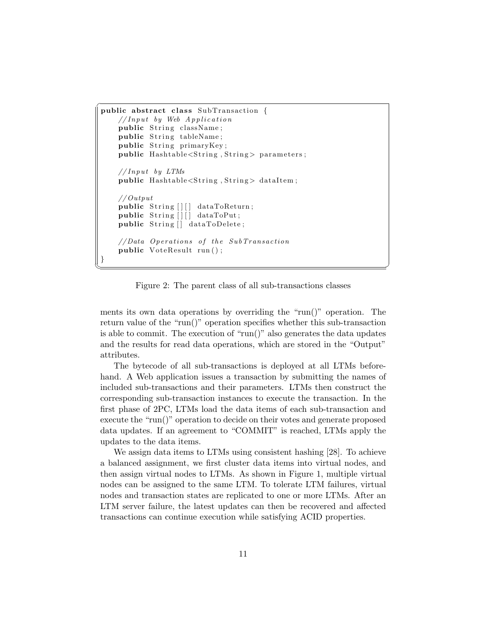```
public abstract class SubTransaction {
    //Input by Web Applicationpublic String className;
    public String tableName;
    public String primaryKey;
    public Hashtable<String, String> parameters;
    //Input by LTMspublic Hashtable<String, String> dataItem;
   // Outputpublic String [] [] dataToReturn;
    public String[[[]] dataToPut;public String[] dataToDelete;// Data Operations of the SubTransactionpublic VoteResult run();
}
```
 $\overline{a}$ 

Figure 2: The parent class of all sub-transactions classes

 $\overline{\phantom{a}}$ 

ments its own data operations by overriding the "run()" operation. The return value of the "run()" operation specifies whether this sub-transaction is able to commit. The execution of "run()" also generates the data updates and the results for read data operations, which are stored in the "Output" attributes.

The bytecode of all sub-transactions is deployed at all LTMs beforehand. A Web application issues a transaction by submitting the names of included sub-transactions and their parameters. LTMs then construct the corresponding sub-transaction instances to execute the transaction. In the first phase of 2PC, LTMs load the data items of each sub-transaction and execute the "run()" operation to decide on their votes and generate proposed data updates. If an agreement to "COMMIT" is reached, LTMs apply the updates to the data items.

We assign data items to LTMs using consistent hashing [28]. To achieve a balanced assignment, we first cluster data items into virtual nodes, and then assign virtual nodes to LTMs. As shown in Figure 1, multiple virtual nodes can be assigned to the same LTM. To tolerate LTM failures, virtual nodes and transaction states are replicated to one or more LTMs. After an LTM server failure, the latest updates can then be recovered and affected transactions can continue execution while satisfying ACID properties.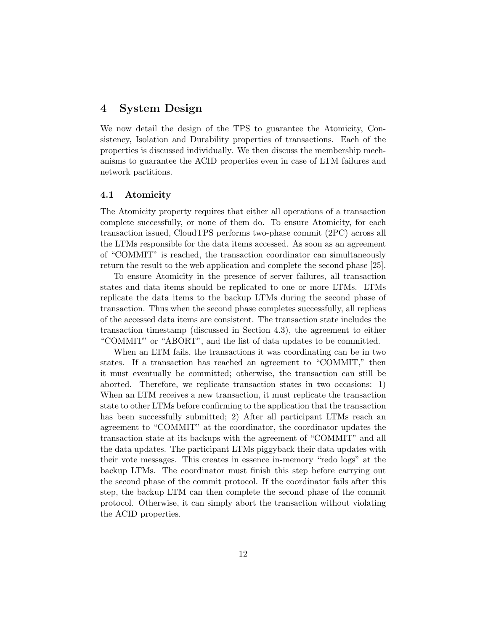## 4 System Design

We now detail the design of the TPS to guarantee the Atomicity, Consistency, Isolation and Durability properties of transactions. Each of the properties is discussed individually. We then discuss the membership mechanisms to guarantee the ACID properties even in case of LTM failures and network partitions.

#### 4.1 Atomicity

The Atomicity property requires that either all operations of a transaction complete successfully, or none of them do. To ensure Atomicity, for each transaction issued, CloudTPS performs two-phase commit (2PC) across all the LTMs responsible for the data items accessed. As soon as an agreement of "COMMIT" is reached, the transaction coordinator can simultaneously return the result to the web application and complete the second phase [25].

To ensure Atomicity in the presence of server failures, all transaction states and data items should be replicated to one or more LTMs. LTMs replicate the data items to the backup LTMs during the second phase of transaction. Thus when the second phase completes successfully, all replicas of the accessed data items are consistent. The transaction state includes the transaction timestamp (discussed in Section 4.3), the agreement to either "COMMIT" or "ABORT", and the list of data updates to be committed.

When an LTM fails, the transactions it was coordinating can be in two states. If a transaction has reached an agreement to "COMMIT," then it must eventually be committed; otherwise, the transaction can still be aborted. Therefore, we replicate transaction states in two occasions: 1) When an LTM receives a new transaction, it must replicate the transaction state to other LTMs before confirming to the application that the transaction has been successfully submitted; 2) After all participant LTMs reach an agreement to "COMMIT" at the coordinator, the coordinator updates the transaction state at its backups with the agreement of "COMMIT" and all the data updates. The participant LTMs piggyback their data updates with their vote messages. This creates in essence in-memory "redo logs" at the backup LTMs. The coordinator must finish this step before carrying out the second phase of the commit protocol. If the coordinator fails after this step, the backup LTM can then complete the second phase of the commit protocol. Otherwise, it can simply abort the transaction without violating the ACID properties.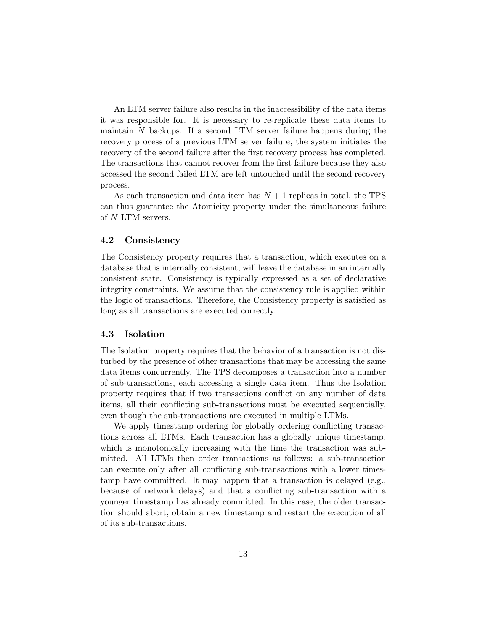An LTM server failure also results in the inaccessibility of the data items it was responsible for. It is necessary to re-replicate these data items to maintain  $N$  backups. If a second LTM server failure happens during the recovery process of a previous LTM server failure, the system initiates the recovery of the second failure after the first recovery process has completed. The transactions that cannot recover from the first failure because they also accessed the second failed LTM are left untouched until the second recovery process.

As each transaction and data item has  $N+1$  replicas in total, the TPS can thus guarantee the Atomicity property under the simultaneous failure of N LTM servers.

#### 4.2 Consistency

The Consistency property requires that a transaction, which executes on a database that is internally consistent, will leave the database in an internally consistent state. Consistency is typically expressed as a set of declarative integrity constraints. We assume that the consistency rule is applied within the logic of transactions. Therefore, the Consistency property is satisfied as long as all transactions are executed correctly.

#### 4.3 Isolation

The Isolation property requires that the behavior of a transaction is not disturbed by the presence of other transactions that may be accessing the same data items concurrently. The TPS decomposes a transaction into a number of sub-transactions, each accessing a single data item. Thus the Isolation property requires that if two transactions conflict on any number of data items, all their conflicting sub-transactions must be executed sequentially, even though the sub-transactions are executed in multiple LTMs.

We apply timestamp ordering for globally ordering conflicting transactions across all LTMs. Each transaction has a globally unique timestamp, which is monotonically increasing with the time the transaction was submitted. All LTMs then order transactions as follows: a sub-transaction can execute only after all conflicting sub-transactions with a lower timestamp have committed. It may happen that a transaction is delayed (e.g., because of network delays) and that a conflicting sub-transaction with a younger timestamp has already committed. In this case, the older transaction should abort, obtain a new timestamp and restart the execution of all of its sub-transactions.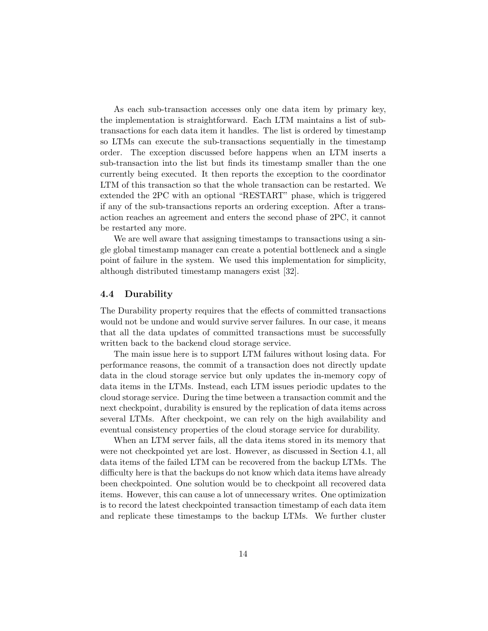As each sub-transaction accesses only one data item by primary key, the implementation is straightforward. Each LTM maintains a list of subtransactions for each data item it handles. The list is ordered by timestamp so LTMs can execute the sub-transactions sequentially in the timestamp order. The exception discussed before happens when an LTM inserts a sub-transaction into the list but finds its timestamp smaller than the one currently being executed. It then reports the exception to the coordinator LTM of this transaction so that the whole transaction can be restarted. We extended the 2PC with an optional "RESTART" phase, which is triggered if any of the sub-transactions reports an ordering exception. After a transaction reaches an agreement and enters the second phase of 2PC, it cannot be restarted any more.

We are well aware that assigning timestamps to transactions using a single global timestamp manager can create a potential bottleneck and a single point of failure in the system. We used this implementation for simplicity, although distributed timestamp managers exist [32].

#### 4.4 Durability

The Durability property requires that the effects of committed transactions would not be undone and would survive server failures. In our case, it means that all the data updates of committed transactions must be successfully written back to the backend cloud storage service.

The main issue here is to support LTM failures without losing data. For performance reasons, the commit of a transaction does not directly update data in the cloud storage service but only updates the in-memory copy of data items in the LTMs. Instead, each LTM issues periodic updates to the cloud storage service. During the time between a transaction commit and the next checkpoint, durability is ensured by the replication of data items across several LTMs. After checkpoint, we can rely on the high availability and eventual consistency properties of the cloud storage service for durability.

When an LTM server fails, all the data items stored in its memory that were not checkpointed yet are lost. However, as discussed in Section 4.1, all data items of the failed LTM can be recovered from the backup LTMs. The difficulty here is that the backups do not know which data items have already been checkpointed. One solution would be to checkpoint all recovered data items. However, this can cause a lot of unnecessary writes. One optimization is to record the latest checkpointed transaction timestamp of each data item and replicate these timestamps to the backup LTMs. We further cluster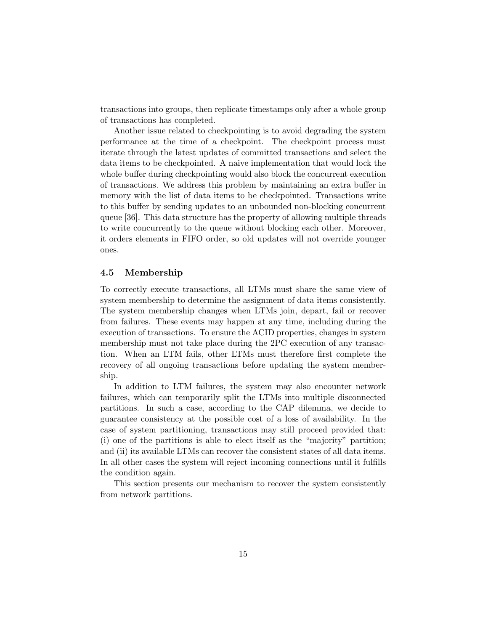transactions into groups, then replicate timestamps only after a whole group of transactions has completed.

Another issue related to checkpointing is to avoid degrading the system performance at the time of a checkpoint. The checkpoint process must iterate through the latest updates of committed transactions and select the data items to be checkpointed. A naive implementation that would lock the whole buffer during checkpointing would also block the concurrent execution of transactions. We address this problem by maintaining an extra buffer in memory with the list of data items to be checkpointed. Transactions write to this buffer by sending updates to an unbounded non-blocking concurrent queue [36]. This data structure has the property of allowing multiple threads to write concurrently to the queue without blocking each other. Moreover, it orders elements in FIFO order, so old updates will not override younger ones.

#### 4.5 Membership

To correctly execute transactions, all LTMs must share the same view of system membership to determine the assignment of data items consistently. The system membership changes when LTMs join, depart, fail or recover from failures. These events may happen at any time, including during the execution of transactions. To ensure the ACID properties, changes in system membership must not take place during the 2PC execution of any transaction. When an LTM fails, other LTMs must therefore first complete the recovery of all ongoing transactions before updating the system membership.

In addition to LTM failures, the system may also encounter network failures, which can temporarily split the LTMs into multiple disconnected partitions. In such a case, according to the CAP dilemma, we decide to guarantee consistency at the possible cost of a loss of availability. In the case of system partitioning, transactions may still proceed provided that: (i) one of the partitions is able to elect itself as the "majority" partition; and (ii) its available LTMs can recover the consistent states of all data items. In all other cases the system will reject incoming connections until it fulfills the condition again.

This section presents our mechanism to recover the system consistently from network partitions.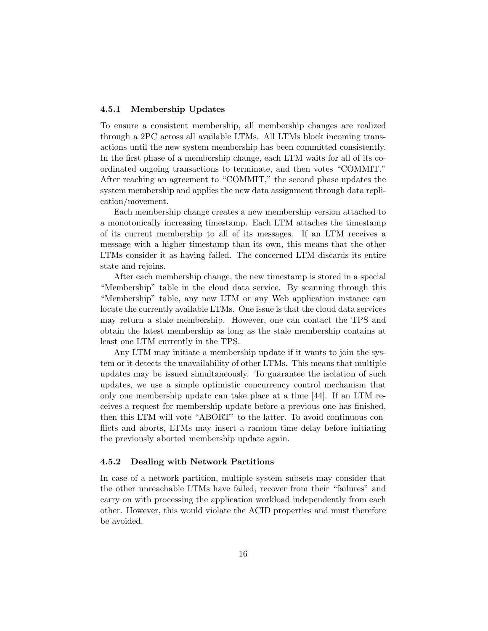#### 4.5.1 Membership Updates

To ensure a consistent membership, all membership changes are realized through a 2PC across all available LTMs. All LTMs block incoming transactions until the new system membership has been committed consistently. In the first phase of a membership change, each LTM waits for all of its coordinated ongoing transactions to terminate, and then votes "COMMIT." After reaching an agreement to "COMMIT," the second phase updates the system membership and applies the new data assignment through data replication/movement.

Each membership change creates a new membership version attached to a monotonically increasing timestamp. Each LTM attaches the timestamp of its current membership to all of its messages. If an LTM receives a message with a higher timestamp than its own, this means that the other LTMs consider it as having failed. The concerned LTM discards its entire state and rejoins.

After each membership change, the new timestamp is stored in a special "Membership" table in the cloud data service. By scanning through this "Membership" table, any new LTM or any Web application instance can locate the currently available LTMs. One issue is that the cloud data services may return a stale membership. However, one can contact the TPS and obtain the latest membership as long as the stale membership contains at least one LTM currently in the TPS.

Any LTM may initiate a membership update if it wants to join the system or it detects the unavailability of other LTMs. This means that multiple updates may be issued simultaneously. To guarantee the isolation of such updates, we use a simple optimistic concurrency control mechanism that only one membership update can take place at a time [44]. If an LTM receives a request for membership update before a previous one has finished, then this LTM will vote "ABORT" to the latter. To avoid continuous conflicts and aborts, LTMs may insert a random time delay before initiating the previously aborted membership update again.

#### 4.5.2 Dealing with Network Partitions

In case of a network partition, multiple system subsets may consider that the other unreachable LTMs have failed, recover from their "failures" and carry on with processing the application workload independently from each other. However, this would violate the ACID properties and must therefore be avoided.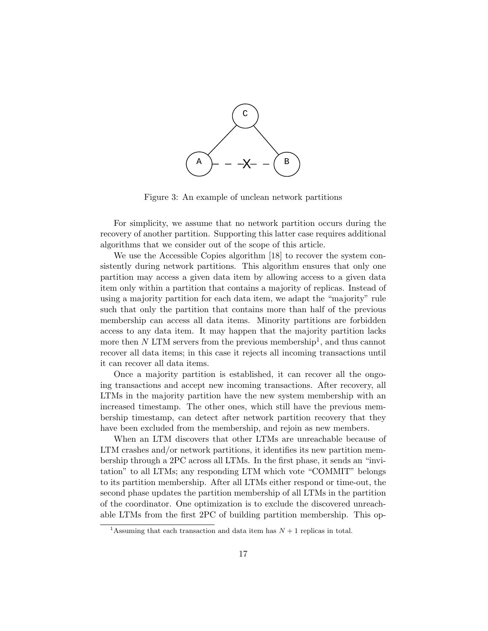

Figure 3: An example of unclean network partitions

For simplicity, we assume that no network partition occurs during the recovery of another partition. Supporting this latter case requires additional algorithms that we consider out of the scope of this article.

We use the Accessible Copies algorithm [18] to recover the system consistently during network partitions. This algorithm ensures that only one partition may access a given data item by allowing access to a given data item only within a partition that contains a majority of replicas. Instead of using a majority partition for each data item, we adapt the "majority" rule such that only the partition that contains more than half of the previous membership can access all data items. Minority partitions are forbidden access to any data item. It may happen that the majority partition lacks more then N LTM servers from the previous membership<sup>1</sup>, and thus cannot recover all data items; in this case it rejects all incoming transactions until it can recover all data items.

Once a majority partition is established, it can recover all the ongoing transactions and accept new incoming transactions. After recovery, all LTMs in the majority partition have the new system membership with an increased timestamp. The other ones, which still have the previous membership timestamp, can detect after network partition recovery that they have been excluded from the membership, and rejoin as new members.

When an LTM discovers that other LTMs are unreachable because of LTM crashes and/or network partitions, it identifies its new partition membership through a 2PC across all LTMs. In the first phase, it sends an "invitation" to all LTMs; any responding LTM which vote "COMMIT" belongs to its partition membership. After all LTMs either respond or time-out, the second phase updates the partition membership of all LTMs in the partition of the coordinator. One optimization is to exclude the discovered unreachable LTMs from the first 2PC of building partition membership. This op-

<sup>&</sup>lt;sup>1</sup>Assuming that each transaction and data item has  $N + 1$  replicas in total.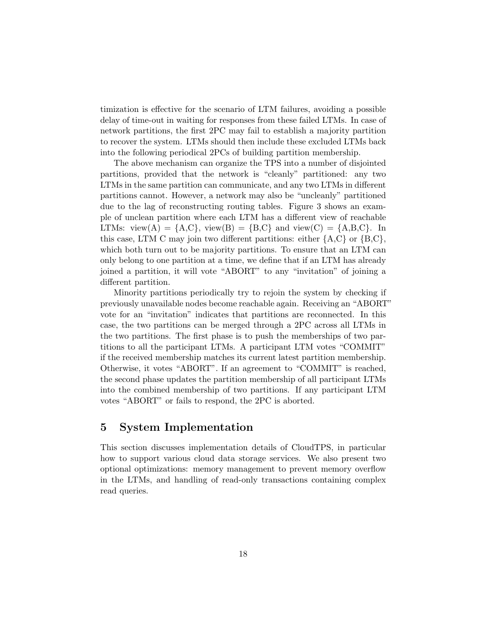timization is effective for the scenario of LTM failures, avoiding a possible delay of time-out in waiting for responses from these failed LTMs. In case of network partitions, the first 2PC may fail to establish a majority partition to recover the system. LTMs should then include these excluded LTMs back into the following periodical 2PCs of building partition membership.

The above mechanism can organize the TPS into a number of disjointed partitions, provided that the network is "cleanly" partitioned: any two LTMs in the same partition can communicate, and any two LTMs in different partitions cannot. However, a network may also be "uncleanly" partitioned due to the lag of reconstructing routing tables. Figure 3 shows an example of unclean partition where each LTM has a different view of reachable LTMs: view $(A) = \{A, C\}$ , view $(B) = \{B, C\}$  and view $(C) = \{A, B, C\}$ . In this case, LTM C may join two different partitions: either  ${A, C}$  or  ${B, C}$ , which both turn out to be majority partitions. To ensure that an LTM can only belong to one partition at a time, we define that if an LTM has already joined a partition, it will vote "ABORT" to any "invitation" of joining a different partition.

Minority partitions periodically try to rejoin the system by checking if previously unavailable nodes become reachable again. Receiving an "ABORT" vote for an "invitation" indicates that partitions are reconnected. In this case, the two partitions can be merged through a 2PC across all LTMs in the two partitions. The first phase is to push the memberships of two partitions to all the participant LTMs. A participant LTM votes "COMMIT" if the received membership matches its current latest partition membership. Otherwise, it votes "ABORT". If an agreement to "COMMIT" is reached, the second phase updates the partition membership of all participant LTMs into the combined membership of two partitions. If any participant LTM votes "ABORT" or fails to respond, the 2PC is aborted.

### 5 System Implementation

This section discusses implementation details of CloudTPS, in particular how to support various cloud data storage services. We also present two optional optimizations: memory management to prevent memory overflow in the LTMs, and handling of read-only transactions containing complex read queries.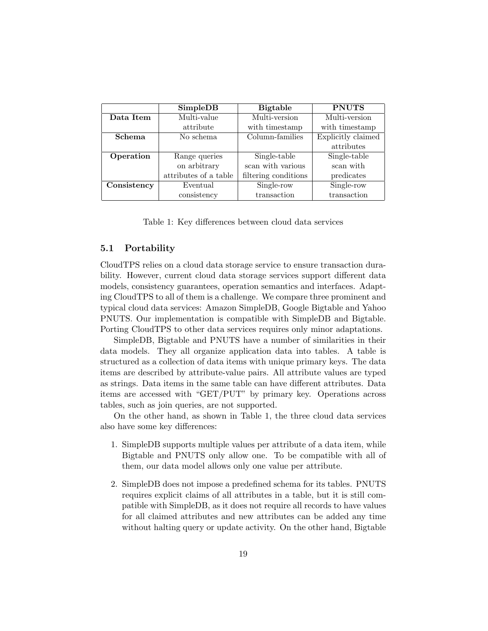|               | <b>SimpleDB</b>       | <b>Bigtable</b>      | <b>PNUTS</b>       |
|---------------|-----------------------|----------------------|--------------------|
| Data Item     | Multi-value           | Multi-version        | Multi-version      |
|               | attribute             | with timestamp       | with timestamp     |
| <b>Schema</b> | No schema             | Column-families      | Explicitly claimed |
|               |                       |                      | attributes         |
| Operation     | Range queries         | Single-table         | Single-table       |
|               | on arbitrary          | scan with various    | scan with          |
|               | attributes of a table | filtering conditions | predicates         |
| Consistency   | Eventual              | Single-row           | Single-row         |
|               | consistency           | transaction          | transaction        |

Table 1: Key differences between cloud data services

#### 5.1 Portability

CloudTPS relies on a cloud data storage service to ensure transaction durability. However, current cloud data storage services support different data models, consistency guarantees, operation semantics and interfaces. Adapting CloudTPS to all of them is a challenge. We compare three prominent and typical cloud data services: Amazon SimpleDB, Google Bigtable and Yahoo PNUTS. Our implementation is compatible with SimpleDB and Bigtable. Porting CloudTPS to other data services requires only minor adaptations.

SimpleDB, Bigtable and PNUTS have a number of similarities in their data models. They all organize application data into tables. A table is structured as a collection of data items with unique primary keys. The data items are described by attribute-value pairs. All attribute values are typed as strings. Data items in the same table can have different attributes. Data items are accessed with "GET/PUT" by primary key. Operations across tables, such as join queries, are not supported.

On the other hand, as shown in Table 1, the three cloud data services also have some key differences:

- 1. SimpleDB supports multiple values per attribute of a data item, while Bigtable and PNUTS only allow one. To be compatible with all of them, our data model allows only one value per attribute.
- 2. SimpleDB does not impose a predefined schema for its tables. PNUTS requires explicit claims of all attributes in a table, but it is still compatible with SimpleDB, as it does not require all records to have values for all claimed attributes and new attributes can be added any time without halting query or update activity. On the other hand, Bigtable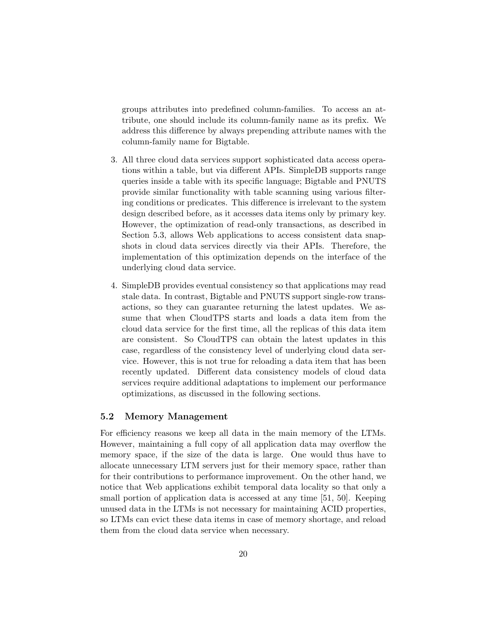groups attributes into predefined column-families. To access an attribute, one should include its column-family name as its prefix. We address this difference by always prepending attribute names with the column-family name for Bigtable.

- 3. All three cloud data services support sophisticated data access operations within a table, but via different APIs. SimpleDB supports range queries inside a table with its specific language; Bigtable and PNUTS provide similar functionality with table scanning using various filtering conditions or predicates. This difference is irrelevant to the system design described before, as it accesses data items only by primary key. However, the optimization of read-only transactions, as described in Section 5.3, allows Web applications to access consistent data snapshots in cloud data services directly via their APIs. Therefore, the implementation of this optimization depends on the interface of the underlying cloud data service.
- 4. SimpleDB provides eventual consistency so that applications may read stale data. In contrast, Bigtable and PNUTS support single-row transactions, so they can guarantee returning the latest updates. We assume that when CloudTPS starts and loads a data item from the cloud data service for the first time, all the replicas of this data item are consistent. So CloudTPS can obtain the latest updates in this case, regardless of the consistency level of underlying cloud data service. However, this is not true for reloading a data item that has been recently updated. Different data consistency models of cloud data services require additional adaptations to implement our performance optimizations, as discussed in the following sections.

#### 5.2 Memory Management

For efficiency reasons we keep all data in the main memory of the LTMs. However, maintaining a full copy of all application data may overflow the memory space, if the size of the data is large. One would thus have to allocate unnecessary LTM servers just for their memory space, rather than for their contributions to performance improvement. On the other hand, we notice that Web applications exhibit temporal data locality so that only a small portion of application data is accessed at any time [51, 50]. Keeping unused data in the LTMs is not necessary for maintaining ACID properties, so LTMs can evict these data items in case of memory shortage, and reload them from the cloud data service when necessary.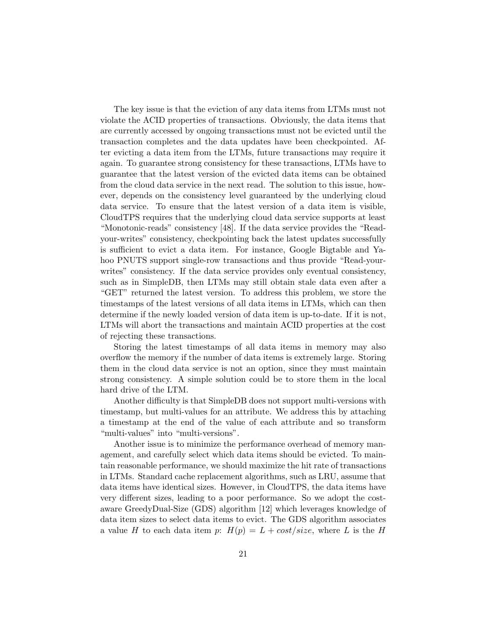The key issue is that the eviction of any data items from LTMs must not violate the ACID properties of transactions. Obviously, the data items that are currently accessed by ongoing transactions must not be evicted until the transaction completes and the data updates have been checkpointed. After evicting a data item from the LTMs, future transactions may require it again. To guarantee strong consistency for these transactions, LTMs have to guarantee that the latest version of the evicted data items can be obtained from the cloud data service in the next read. The solution to this issue, however, depends on the consistency level guaranteed by the underlying cloud data service. To ensure that the latest version of a data item is visible, CloudTPS requires that the underlying cloud data service supports at least "Monotonic-reads" consistency [48]. If the data service provides the "Readyour-writes" consistency, checkpointing back the latest updates successfully is sufficient to evict a data item. For instance, Google Bigtable and Yahoo PNUTS support single-row transactions and thus provide "Read-yourwrites" consistency. If the data service provides only eventual consistency, such as in SimpleDB, then LTMs may still obtain stale data even after a "GET" returned the latest version. To address this problem, we store the timestamps of the latest versions of all data items in LTMs, which can then determine if the newly loaded version of data item is up-to-date. If it is not, LTMs will abort the transactions and maintain ACID properties at the cost of rejecting these transactions.

Storing the latest timestamps of all data items in memory may also overflow the memory if the number of data items is extremely large. Storing them in the cloud data service is not an option, since they must maintain strong consistency. A simple solution could be to store them in the local hard drive of the LTM.

Another difficulty is that SimpleDB does not support multi-versions with timestamp, but multi-values for an attribute. We address this by attaching a timestamp at the end of the value of each attribute and so transform "multi-values" into "multi-versions".

Another issue is to minimize the performance overhead of memory management, and carefully select which data items should be evicted. To maintain reasonable performance, we should maximize the hit rate of transactions in LTMs. Standard cache replacement algorithms, such as LRU, assume that data items have identical sizes. However, in CloudTPS, the data items have very different sizes, leading to a poor performance. So we adopt the costaware GreedyDual-Size (GDS) algorithm [12] which leverages knowledge of data item sizes to select data items to evict. The GDS algorithm associates a value H to each data item p:  $H(p) = L + cost/size$ , where L is the H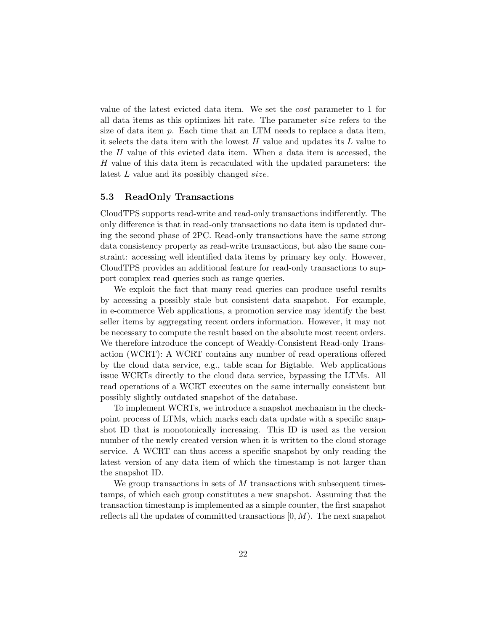value of the latest evicted data item. We set the cost parameter to 1 for all data items as this optimizes hit rate. The parameter size refers to the size of data item p. Each time that an LTM needs to replace a data item, it selects the data item with the lowest  $H$  value and updates its  $L$  value to the  $H$  value of this evicted data item. When a data item is accessed, the H value of this data item is recaculated with the updated parameters: the latest L value and its possibly changed size.

#### 5.3 ReadOnly Transactions

CloudTPS supports read-write and read-only transactions indifferently. The only difference is that in read-only transactions no data item is updated during the second phase of 2PC. Read-only transactions have the same strong data consistency property as read-write transactions, but also the same constraint: accessing well identified data items by primary key only. However, CloudTPS provides an additional feature for read-only transactions to support complex read queries such as range queries.

We exploit the fact that many read queries can produce useful results by accessing a possibly stale but consistent data snapshot. For example, in e-commerce Web applications, a promotion service may identify the best seller items by aggregating recent orders information. However, it may not be necessary to compute the result based on the absolute most recent orders. We therefore introduce the concept of Weakly-Consistent Read-only Transaction (WCRT): A WCRT contains any number of read operations offered by the cloud data service, e.g., table scan for Bigtable. Web applications issue WCRTs directly to the cloud data service, bypassing the LTMs. All read operations of a WCRT executes on the same internally consistent but possibly slightly outdated snapshot of the database.

To implement WCRTs, we introduce a snapshot mechanism in the checkpoint process of LTMs, which marks each data update with a specific snapshot ID that is monotonically increasing. This ID is used as the version number of the newly created version when it is written to the cloud storage service. A WCRT can thus access a specific snapshot by only reading the latest version of any data item of which the timestamp is not larger than the snapshot ID.

We group transactions in sets of  $M$  transactions with subsequent timestamps, of which each group constitutes a new snapshot. Assuming that the transaction timestamp is implemented as a simple counter, the first snapshot reflects all the updates of committed transactions  $[0, M)$ . The next snapshot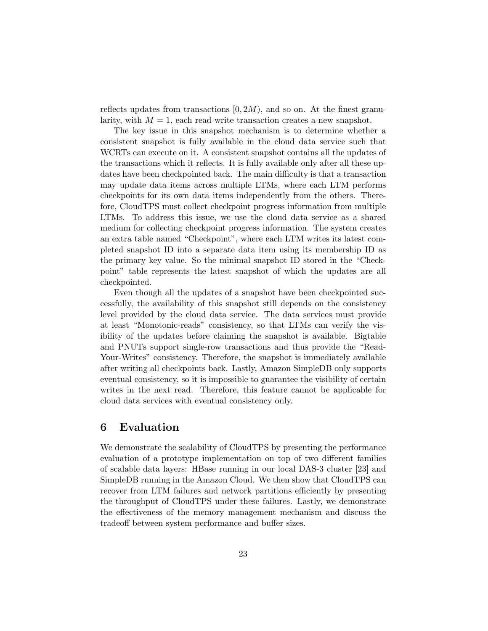reflects updates from transactions  $[0, 2M)$ , and so on. At the finest granularity, with  $M = 1$ , each read-write transaction creates a new snapshot.

The key issue in this snapshot mechanism is to determine whether a consistent snapshot is fully available in the cloud data service such that WCRTs can execute on it. A consistent snapshot contains all the updates of the transactions which it reflects. It is fully available only after all these updates have been checkpointed back. The main difficulty is that a transaction may update data items across multiple LTMs, where each LTM performs checkpoints for its own data items independently from the others. Therefore, CloudTPS must collect checkpoint progress information from multiple LTMs. To address this issue, we use the cloud data service as a shared medium for collecting checkpoint progress information. The system creates an extra table named "Checkpoint", where each LTM writes its latest completed snapshot ID into a separate data item using its membership ID as the primary key value. So the minimal snapshot ID stored in the "Checkpoint" table represents the latest snapshot of which the updates are all checkpointed.

Even though all the updates of a snapshot have been checkpointed successfully, the availability of this snapshot still depends on the consistency level provided by the cloud data service. The data services must provide at least "Monotonic-reads" consistency, so that LTMs can verify the visibility of the updates before claiming the snapshot is available. Bigtable and PNUTs support single-row transactions and thus provide the "Read-Your-Writes" consistency. Therefore, the snapshot is immediately available after writing all checkpoints back. Lastly, Amazon SimpleDB only supports eventual consistency, so it is impossible to guarantee the visibility of certain writes in the next read. Therefore, this feature cannot be applicable for cloud data services with eventual consistency only.

## 6 Evaluation

We demonstrate the scalability of CloudTPS by presenting the performance evaluation of a prototype implementation on top of two different families of scalable data layers: HBase running in our local DAS-3 cluster [23] and SimpleDB running in the Amazon Cloud. We then show that CloudTPS can recover from LTM failures and network partitions efficiently by presenting the throughput of CloudTPS under these failures. Lastly, we demonstrate the effectiveness of the memory management mechanism and discuss the tradeoff between system performance and buffer sizes.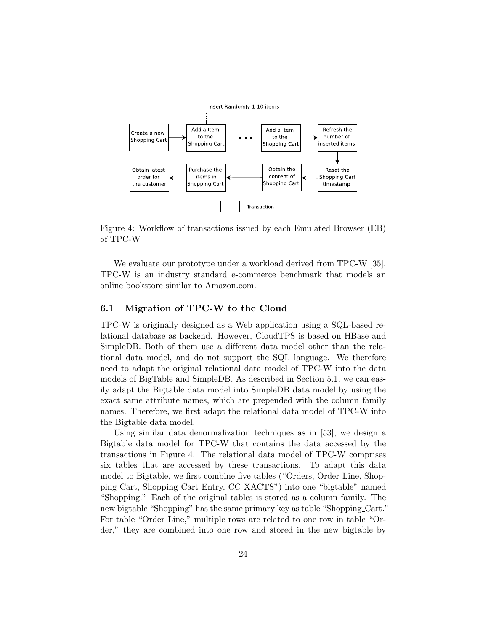

Figure 4: Workflow of transactions issued by each Emulated Browser (EB) of TPC-W

We evaluate our prototype under a workload derived from TPC-W [35]. TPC-W is an industry standard e-commerce benchmark that models an online bookstore similar to Amazon.com.

#### 6.1 Migration of TPC-W to the Cloud

TPC-W is originally designed as a Web application using a SQL-based relational database as backend. However, CloudTPS is based on HBase and SimpleDB. Both of them use a different data model other than the relational data model, and do not support the SQL language. We therefore need to adapt the original relational data model of TPC-W into the data models of BigTable and SimpleDB. As described in Section 5.1, we can easily adapt the Bigtable data model into SimpleDB data model by using the exact same attribute names, which are prepended with the column family names. Therefore, we first adapt the relational data model of TPC-W into the Bigtable data model.

Using similar data denormalization techniques as in [53], we design a Bigtable data model for TPC-W that contains the data accessed by the transactions in Figure 4. The relational data model of TPC-W comprises six tables that are accessed by these transactions. To adapt this data model to Bigtable, we first combine five tables ("Orders, Order Line, Shopping Cart, Shopping Cart Entry, CC XACTS") into one "bigtable" named "Shopping." Each of the original tables is stored as a column family. The new bigtable "Shopping" has the same primary key as table "Shopping Cart." For table "Order Line," multiple rows are related to one row in table "Order," they are combined into one row and stored in the new bigtable by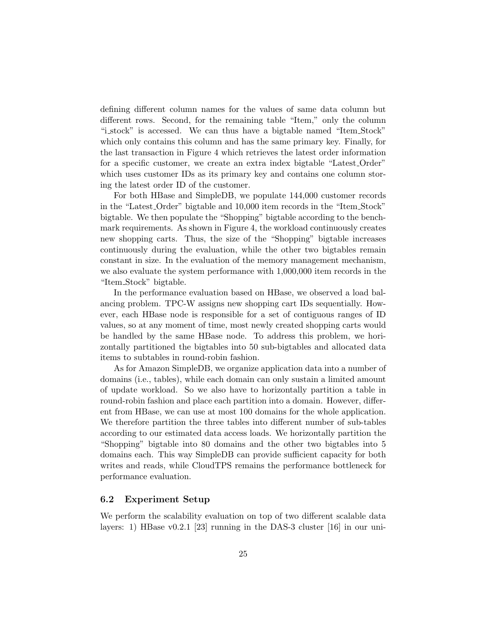defining different column names for the values of same data column but different rows. Second, for the remaining table "Item," only the column "i\_stock" is accessed. We can thus have a bigtable named "Item\_Stock" which only contains this column and has the same primary key. Finally, for the last transaction in Figure 4 which retrieves the latest order information for a specific customer, we create an extra index bigtable "Latest Order" which uses customer IDs as its primary key and contains one column storing the latest order ID of the customer.

For both HBase and SimpleDB, we populate 144,000 customer records in the "Latest Order" bigtable and 10,000 item records in the "Item Stock" bigtable. We then populate the "Shopping" bigtable according to the benchmark requirements. As shown in Figure 4, the workload continuously creates new shopping carts. Thus, the size of the "Shopping" bigtable increases continuously during the evaluation, while the other two bigtables remain constant in size. In the evaluation of the memory management mechanism, we also evaluate the system performance with 1,000,000 item records in the "Item Stock" bigtable.

In the performance evaluation based on HBase, we observed a load balancing problem. TPC-W assigns new shopping cart IDs sequentially. However, each HBase node is responsible for a set of contiguous ranges of ID values, so at any moment of time, most newly created shopping carts would be handled by the same HBase node. To address this problem, we horizontally partitioned the bigtables into 50 sub-bigtables and allocated data items to subtables in round-robin fashion.

As for Amazon SimpleDB, we organize application data into a number of domains (i.e., tables), while each domain can only sustain a limited amount of update workload. So we also have to horizontally partition a table in round-robin fashion and place each partition into a domain. However, different from HBase, we can use at most 100 domains for the whole application. We therefore partition the three tables into different number of sub-tables according to our estimated data access loads. We horizontally partition the "Shopping" bigtable into 80 domains and the other two bigtables into 5 domains each. This way SimpleDB can provide sufficient capacity for both writes and reads, while CloudTPS remains the performance bottleneck for performance evaluation.

#### 6.2 Experiment Setup

We perform the scalability evaluation on top of two different scalable data layers: 1) HBase v0.2.1 [23] running in the DAS-3 cluster [16] in our uni-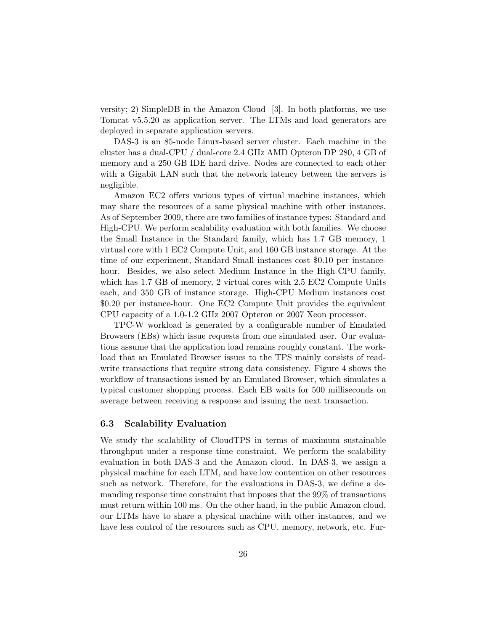versity; 2) SimpleDB in the Amazon Cloud [3]. In both platforms, we use Tomcat v5.5.20 as application server. The LTMs and load generators are deployed in separate application servers.

DAS-3 is an 85-node Linux-based server cluster. Each machine in the cluster has a dual-CPU / dual-core 2.4 GHz AMD Opteron DP 280, 4 GB of memory and a 250 GB IDE hard drive. Nodes are connected to each other with a Gigabit LAN such that the network latency between the servers is negligible.

Amazon EC2 offers various types of virtual machine instances, which may share the resources of a same physical machine with other instances. As of September 2009, there are two families of instance types: Standard and High-CPU. We perform scalability evaluation with both families. We choose the Small Instance in the Standard family, which has 1.7 GB memory, 1 virtual core with 1 EC2 Compute Unit, and 160 GB instance storage. At the time of our experiment, Standard Small instances cost \$0.10 per instancehour. Besides, we also select Medium Instance in the High-CPU family, which has 1.7 GB of memory, 2 virtual cores with 2.5 EC2 Compute Units each, and 350 GB of instance storage. High-CPU Medium instances cost \$0.20 per instance-hour. One EC2 Compute Unit provides the equivalent CPU capacity of a 1.0-1.2 GHz 2007 Opteron or 2007 Xeon processor.

TPC-W workload is generated by a configurable number of Emulated Browsers (EBs) which issue requests from one simulated user. Our evaluations assume that the application load remains roughly constant. The workload that an Emulated Browser issues to the TPS mainly consists of readwrite transactions that require strong data consistency. Figure 4 shows the workflow of transactions issued by an Emulated Browser, which simulates a typical customer shopping process. Each EB waits for 500 milliseconds on average between receiving a response and issuing the next transaction.

#### 6.3 Scalability Evaluation

We study the scalability of CloudTPS in terms of maximum sustainable throughput under a response time constraint. We perform the scalability evaluation in both DAS-3 and the Amazon cloud. In DAS-3, we assign a physical machine for each LTM, and have low contention on other resources such as network. Therefore, for the evaluations in DAS-3, we define a demanding response time constraint that imposes that the 99% of transactions must return within 100 ms. On the other hand, in the public Amazon cloud, our LTMs have to share a physical machine with other instances, and we have less control of the resources such as CPU, memory, network, etc. Fur-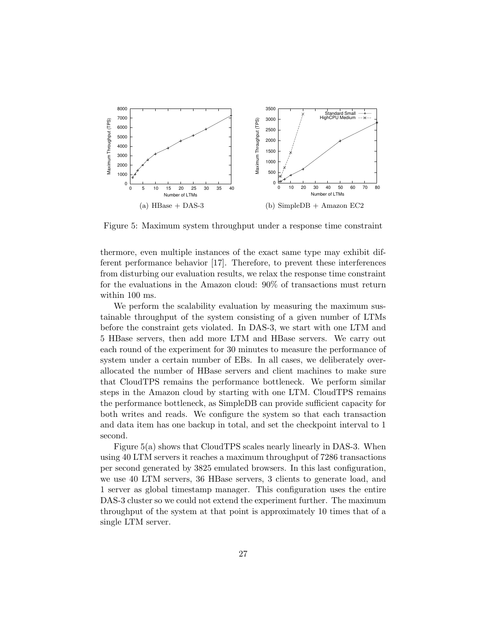

Figure 5: Maximum system throughput under a response time constraint

thermore, even multiple instances of the exact same type may exhibit different performance behavior [17]. Therefore, to prevent these interferences from disturbing our evaluation results, we relax the response time constraint for the evaluations in the Amazon cloud: 90% of transactions must return within 100 ms.

We perform the scalability evaluation by measuring the maximum sustainable throughput of the system consisting of a given number of LTMs before the constraint gets violated. In DAS-3, we start with one LTM and 5 HBase servers, then add more LTM and HBase servers. We carry out each round of the experiment for 30 minutes to measure the performance of system under a certain number of EBs. In all cases, we deliberately overallocated the number of HBase servers and client machines to make sure that CloudTPS remains the performance bottleneck. We perform similar steps in the Amazon cloud by starting with one LTM. CloudTPS remains the performance bottleneck, as SimpleDB can provide sufficient capacity for both writes and reads. We configure the system so that each transaction and data item has one backup in total, and set the checkpoint interval to 1 second.

Figure 5(a) shows that CloudTPS scales nearly linearly in DAS-3. When using 40 LTM servers it reaches a maximum throughput of 7286 transactions per second generated by 3825 emulated browsers. In this last configuration, we use 40 LTM servers, 36 HBase servers, 3 clients to generate load, and 1 server as global timestamp manager. This configuration uses the entire DAS-3 cluster so we could not extend the experiment further. The maximum throughput of the system at that point is approximately 10 times that of a single LTM server.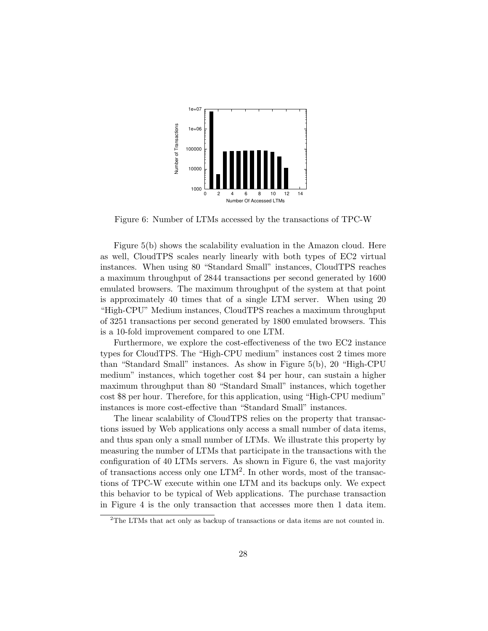

Figure 6: Number of LTMs accessed by the transactions of TPC-W

Figure 5(b) shows the scalability evaluation in the Amazon cloud. Here as well, CloudTPS scales nearly linearly with both types of EC2 virtual instances. When using 80 "Standard Small" instances, CloudTPS reaches a maximum throughput of 2844 transactions per second generated by 1600 emulated browsers. The maximum throughput of the system at that point is approximately 40 times that of a single LTM server. When using 20 "High-CPU" Medium instances, CloudTPS reaches a maximum throughput of 3251 transactions per second generated by 1800 emulated browsers. This is a 10-fold improvement compared to one LTM.

Furthermore, we explore the cost-effectiveness of the two EC2 instance types for CloudTPS. The "High-CPU medium" instances cost 2 times more than "Standard Small" instances. As show in Figure 5(b), 20 "High-CPU medium" instances, which together cost \$4 per hour, can sustain a higher maximum throughput than 80 "Standard Small" instances, which together cost \$8 per hour. Therefore, for this application, using "High-CPU medium" instances is more cost-effective than "Standard Small" instances.

The linear scalability of CloudTPS relies on the property that transactions issued by Web applications only access a small number of data items, and thus span only a small number of LTMs. We illustrate this property by measuring the number of LTMs that participate in the transactions with the configuration of 40 LTMs servers. As shown in Figure 6, the vast majority of transactions access only one  $LTM^2$ . In other words, most of the transactions of TPC-W execute within one LTM and its backups only. We expect this behavior to be typical of Web applications. The purchase transaction in Figure 4 is the only transaction that accesses more then 1 data item.

<sup>&</sup>lt;sup>2</sup>The LTMs that act only as backup of transactions or data items are not counted in.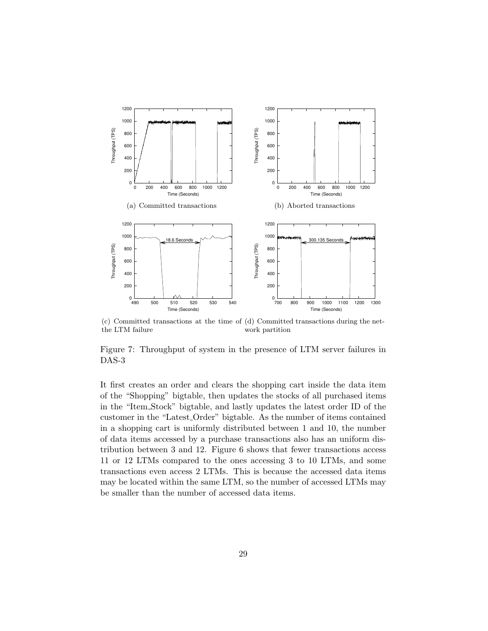

(c) Committed transactions at the time of (d) Committed transactions during the netthe LTM failure work partition

Figure 7: Throughput of system in the presence of LTM server failures in DAS-3

It first creates an order and clears the shopping cart inside the data item of the "Shopping" bigtable, then updates the stocks of all purchased items in the "Item Stock" bigtable, and lastly updates the latest order ID of the customer in the "Latest Order" bigtable. As the number of items contained in a shopping cart is uniformly distributed between 1 and 10, the number of data items accessed by a purchase transactions also has an uniform distribution between 3 and 12. Figure 6 shows that fewer transactions access 11 or 12 LTMs compared to the ones accessing 3 to 10 LTMs, and some transactions even access 2 LTMs. This is because the accessed data items may be located within the same LTM, so the number of accessed LTMs may be smaller than the number of accessed data items.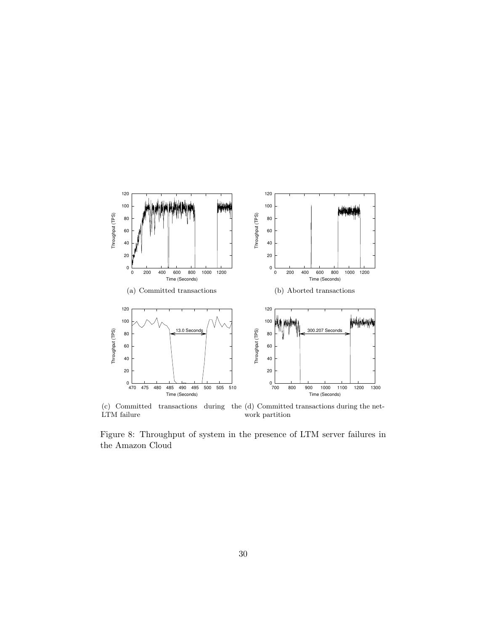

(c) Committed transactions during the (d) Committed transactions during the net-LTM failure work partition

Figure 8: Throughput of system in the presence of LTM server failures in the Amazon Cloud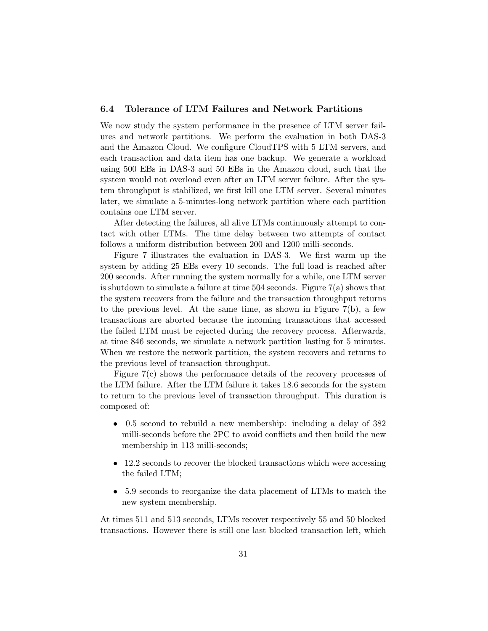#### 6.4 Tolerance of LTM Failures and Network Partitions

We now study the system performance in the presence of LTM server failures and network partitions. We perform the evaluation in both DAS-3 and the Amazon Cloud. We configure CloudTPS with 5 LTM servers, and each transaction and data item has one backup. We generate a workload using 500 EBs in DAS-3 and 50 EBs in the Amazon cloud, such that the system would not overload even after an LTM server failure. After the system throughput is stabilized, we first kill one LTM server. Several minutes later, we simulate a 5-minutes-long network partition where each partition contains one LTM server.

After detecting the failures, all alive LTMs continuously attempt to contact with other LTMs. The time delay between two attempts of contact follows a uniform distribution between 200 and 1200 milli-seconds.

Figure 7 illustrates the evaluation in DAS-3. We first warm up the system by adding 25 EBs every 10 seconds. The full load is reached after 200 seconds. After running the system normally for a while, one LTM server is shutdown to simulate a failure at time  $504$  seconds. Figure  $7(a)$  shows that the system recovers from the failure and the transaction throughput returns to the previous level. At the same time, as shown in Figure 7(b), a few transactions are aborted because the incoming transactions that accessed the failed LTM must be rejected during the recovery process. Afterwards, at time 846 seconds, we simulate a network partition lasting for 5 minutes. When we restore the network partition, the system recovers and returns to the previous level of transaction throughput.

Figure 7(c) shows the performance details of the recovery processes of the LTM failure. After the LTM failure it takes 18.6 seconds for the system to return to the previous level of transaction throughput. This duration is composed of:

- 0.5 second to rebuild a new membership: including a delay of 382 milli-seconds before the 2PC to avoid conflicts and then build the new membership in 113 milli-seconds;
- 12.2 seconds to recover the blocked transactions which were accessing the failed LTM;
- 5.9 seconds to reorganize the data placement of LTMs to match the new system membership.

At times 511 and 513 seconds, LTMs recover respectively 55 and 50 blocked transactions. However there is still one last blocked transaction left, which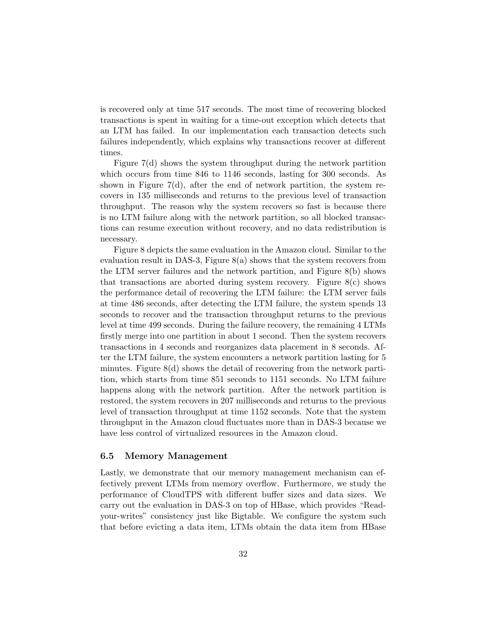is recovered only at time 517 seconds. The most time of recovering blocked transactions is spent in waiting for a time-out exception which detects that an LTM has failed. In our implementation each transaction detects such failures independently, which explains why transactions recover at different times.

Figure 7(d) shows the system throughput during the network partition which occurs from time 846 to 1146 seconds, lasting for 300 seconds. As shown in Figure 7(d), after the end of network partition, the system recovers in 135 milliseconds and returns to the previous level of transaction throughput. The reason why the system recovers so fast is because there is no LTM failure along with the network partition, so all blocked transactions can resume execution without recovery, and no data redistribution is necessary.

Figure 8 depicts the same evaluation in the Amazon cloud. Similar to the evaluation result in DAS-3, Figure  $8(a)$  shows that the system recovers from the LTM server failures and the network partition, and Figure 8(b) shows that transactions are aborted during system recovery. Figure  $8(c)$  shows the performance detail of recovering the LTM failure: the LTM server fails at time 486 seconds, after detecting the LTM failure, the system spends 13 seconds to recover and the transaction throughput returns to the previous level at time 499 seconds. During the failure recovery, the remaining 4 LTMs firstly merge into one partition in about 1 second. Then the system recovers transactions in 4 seconds and reorganizes data placement in 8 seconds. After the LTM failure, the system encounters a network partition lasting for 5 minutes. Figure 8(d) shows the detail of recovering from the network partition, which starts from time 851 seconds to 1151 seconds. No LTM failure happens along with the network partition. After the network partition is restored, the system recovers in 207 milliseconds and returns to the previous level of transaction throughput at time 1152 seconds. Note that the system throughput in the Amazon cloud fluctuates more than in DAS-3 because we have less control of virtualized resources in the Amazon cloud.

#### 6.5 Memory Management

Lastly, we demonstrate that our memory management mechanism can effectively prevent LTMs from memory overflow. Furthermore, we study the performance of CloudTPS with different buffer sizes and data sizes. We carry out the evaluation in DAS-3 on top of HBase, which provides "Readyour-writes" consistency just like Bigtable. We configure the system such that before evicting a data item, LTMs obtain the data item from HBase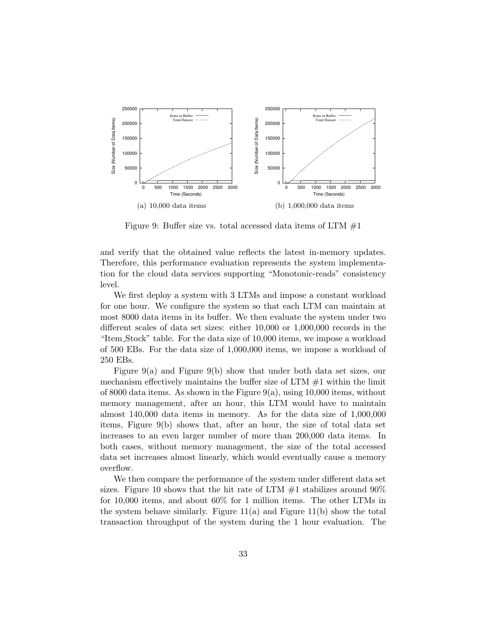

Figure 9: Buffer size vs. total accessed data items of LTM  $#1$ 

and verify that the obtained value reflects the latest in-memory updates. Therefore, this performance evaluation represents the system implementation for the cloud data services supporting "Monotonic-reads" consistency level.

We first deploy a system with 3 LTMs and impose a constant workload for one hour. We configure the system so that each LTM can maintain at most 8000 data items in its buffer. We then evaluate the system under two different scales of data set sizes: either 10,000 or 1,000,000 records in the "Item Stock" table. For the data size of 10,000 items, we impose a workload of 500 EBs. For the data size of 1,000,000 items, we impose a workload of 250 EBs.

Figure 9(a) and Figure 9(b) show that under both data set sizes, our mechanism effectively maintains the buffer size of LTM  $#1$  within the limit of 8000 data items. As shown in the Figure  $9(a)$ , using 10,000 items, without memory management, after an hour, this LTM would have to maintain almost 140,000 data items in memory. As for the data size of 1,000,000 items, Figure 9(b) shows that, after an hour, the size of total data set increases to an even larger number of more than 200,000 data items. In both cases, without memory management, the size of the total accessed data set increases almost linearly, which would eventually cause a memory overflow.

We then compare the performance of the system under different data set sizes. Figure 10 shows that the hit rate of LTM  $#1$  stabilizes around 90% for 10,000 items, and about 60% for 1 million items. The other LTMs in the system behave similarly. Figure  $11(a)$  and Figure  $11(b)$  show the total transaction throughput of the system during the 1 hour evaluation. The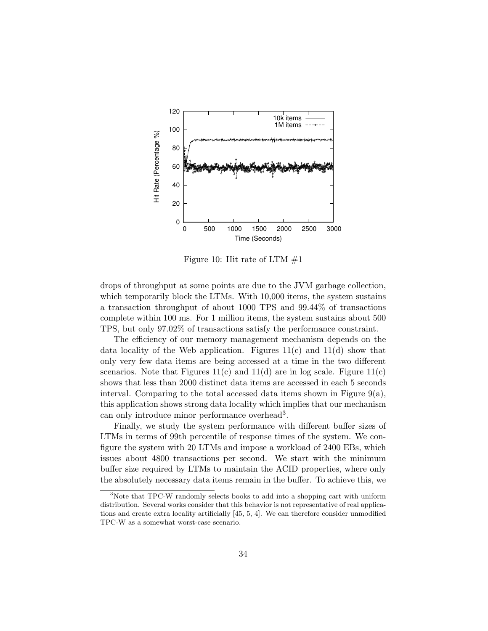

Figure 10: Hit rate of LTM  $#1$ 

drops of throughput at some points are due to the JVM garbage collection, which temporarily block the LTMs. With 10,000 items, the system sustains a transaction throughput of about 1000 TPS and 99.44% of transactions complete within 100 ms. For 1 million items, the system sustains about 500 TPS, but only 97.02% of transactions satisfy the performance constraint.

The efficiency of our memory management mechanism depends on the data locality of the Web application. Figures  $11(c)$  and  $11(d)$  show that only very few data items are being accessed at a time in the two different scenarios. Note that Figures  $11(c)$  and  $11(d)$  are in log scale. Figure  $11(c)$ shows that less than 2000 distinct data items are accessed in each 5 seconds interval. Comparing to the total accessed data items shown in Figure  $9(a)$ , this application shows strong data locality which implies that our mechanism can only introduce minor performance overhead<sup>3</sup>.

Finally, we study the system performance with different buffer sizes of LTMs in terms of 99th percentile of response times of the system. We configure the system with 20 LTMs and impose a workload of 2400 EBs, which issues about 4800 transactions per second. We start with the minimum buffer size required by LTMs to maintain the ACID properties, where only the absolutely necessary data items remain in the buffer. To achieve this, we

<sup>3</sup>Note that TPC-W randomly selects books to add into a shopping cart with uniform distribution. Several works consider that this behavior is not representative of real applications and create extra locality artificially [45, 5, 4]. We can therefore consider unmodified TPC-W as a somewhat worst-case scenario.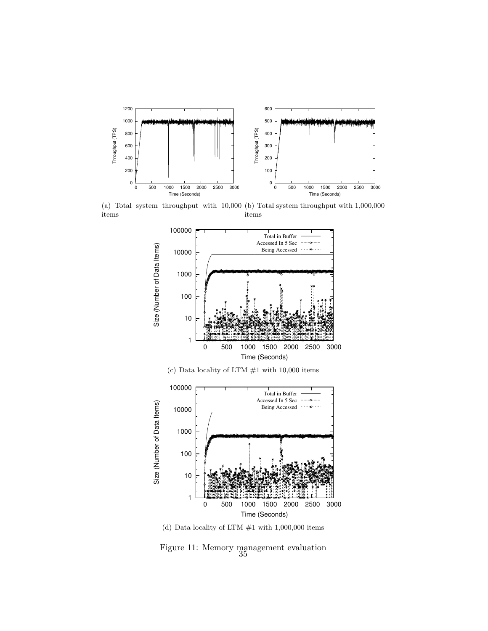

(a) Total system throughput with 10,000 (b) Total system throughput with 1,000,000 items items







Figure 11: Memory management evaluation 35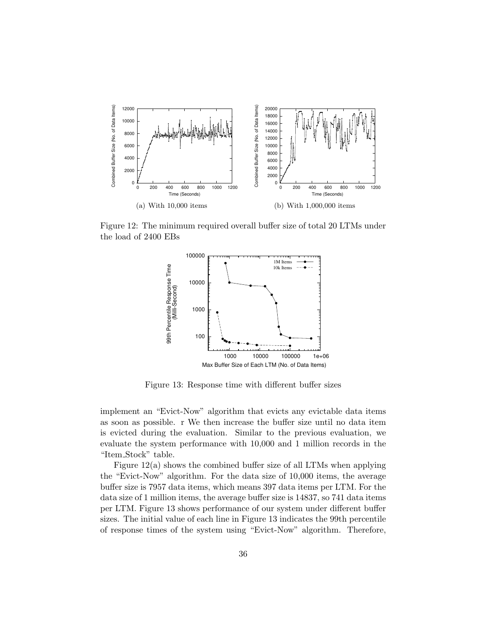

Figure 12: The minimum required overall buffer size of total 20 LTMs under the load of 2400 EBs



Figure 13: Response time with different buffer sizes

implement an "Evict-Now" algorithm that evicts any evictable data items as soon as possible. r We then increase the buffer size until no data item is evicted during the evaluation. Similar to the previous evaluation, we evaluate the system performance with 10,000 and 1 million records in the "Item Stock" table.

Figure 12(a) shows the combined buffer size of all LTMs when applying the "Evict-Now" algorithm. For the data size of 10,000 items, the average buffer size is 7957 data items, which means 397 data items per LTM. For the data size of 1 million items, the average buffer size is 14837, so 741 data items per LTM. Figure 13 shows performance of our system under different buffer sizes. The initial value of each line in Figure 13 indicates the 99th percentile of response times of the system using "Evict-Now" algorithm. Therefore,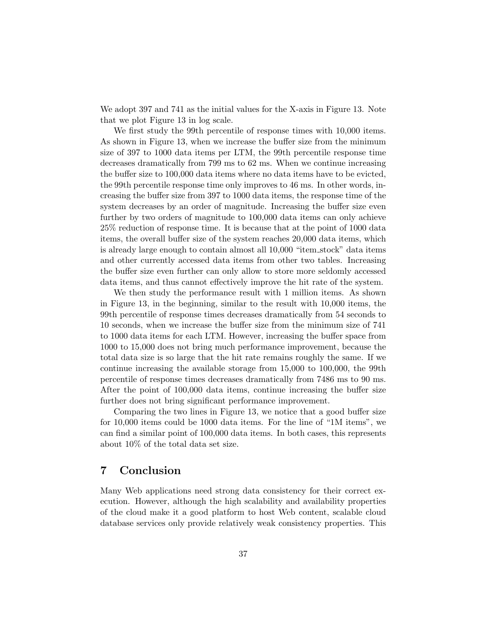We adopt 397 and 741 as the initial values for the X-axis in Figure 13. Note that we plot Figure 13 in log scale.

We first study the 99th percentile of response times with 10,000 items. As shown in Figure 13, when we increase the buffer size from the minimum size of 397 to 1000 data items per LTM, the 99th percentile response time decreases dramatically from 799 ms to 62 ms. When we continue increasing the buffer size to 100,000 data items where no data items have to be evicted, the 99th percentile response time only improves to 46 ms. In other words, increasing the buffer size from 397 to 1000 data items, the response time of the system decreases by an order of magnitude. Increasing the buffer size even further by two orders of magnitude to 100,000 data items can only achieve 25% reduction of response time. It is because that at the point of 1000 data items, the overall buffer size of the system reaches 20,000 data items, which is already large enough to contain almost all 10,000 "item stock" data items and other currently accessed data items from other two tables. Increasing the buffer size even further can only allow to store more seldomly accessed data items, and thus cannot effectively improve the hit rate of the system.

We then study the performance result with 1 million items. As shown in Figure 13, in the beginning, similar to the result with 10,000 items, the 99th percentile of response times decreases dramatically from 54 seconds to 10 seconds, when we increase the buffer size from the minimum size of 741 to 1000 data items for each LTM. However, increasing the buffer space from 1000 to 15,000 does not bring much performance improvement, because the total data size is so large that the hit rate remains roughly the same. If we continue increasing the available storage from 15,000 to 100,000, the 99th percentile of response times decreases dramatically from 7486 ms to 90 ms. After the point of 100,000 data items, continue increasing the buffer size further does not bring significant performance improvement.

Comparing the two lines in Figure 13, we notice that a good buffer size for 10,000 items could be 1000 data items. For the line of "1M items", we can find a similar point of 100,000 data items. In both cases, this represents about 10% of the total data set size.

## 7 Conclusion

Many Web applications need strong data consistency for their correct execution. However, although the high scalability and availability properties of the cloud make it a good platform to host Web content, scalable cloud database services only provide relatively weak consistency properties. This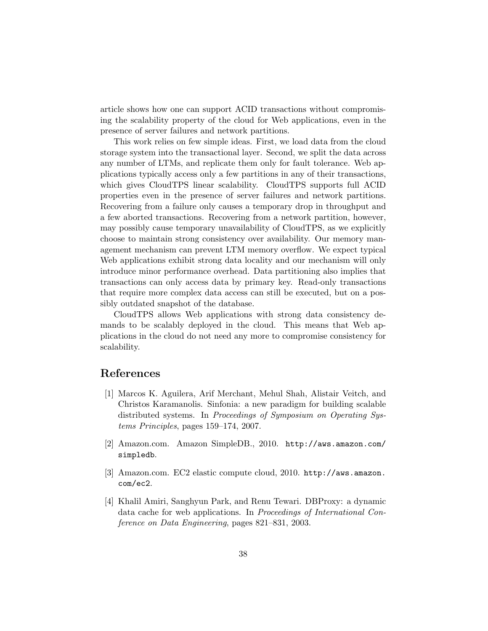article shows how one can support ACID transactions without compromising the scalability property of the cloud for Web applications, even in the presence of server failures and network partitions.

This work relies on few simple ideas. First, we load data from the cloud storage system into the transactional layer. Second, we split the data across any number of LTMs, and replicate them only for fault tolerance. Web applications typically access only a few partitions in any of their transactions, which gives CloudTPS linear scalability. CloudTPS supports full ACID properties even in the presence of server failures and network partitions. Recovering from a failure only causes a temporary drop in throughput and a few aborted transactions. Recovering from a network partition, however, may possibly cause temporary unavailability of CloudTPS, as we explicitly choose to maintain strong consistency over availability. Our memory management mechanism can prevent LTM memory overflow. We expect typical Web applications exhibit strong data locality and our mechanism will only introduce minor performance overhead. Data partitioning also implies that transactions can only access data by primary key. Read-only transactions that require more complex data access can still be executed, but on a possibly outdated snapshot of the database.

CloudTPS allows Web applications with strong data consistency demands to be scalably deployed in the cloud. This means that Web applications in the cloud do not need any more to compromise consistency for scalability.

## References

- [1] Marcos K. Aguilera, Arif Merchant, Mehul Shah, Alistair Veitch, and Christos Karamanolis. Sinfonia: a new paradigm for building scalable distributed systems. In Proceedings of Symposium on Operating Systems Principles, pages 159–174, 2007.
- [2] Amazon.com. Amazon SimpleDB., 2010. http://aws.amazon.com/ simpledb.
- [3] Amazon.com. EC2 elastic compute cloud, 2010. http://aws.amazon. com/ec2.
- [4] Khalil Amiri, Sanghyun Park, and Renu Tewari. DBProxy: a dynamic data cache for web applications. In Proceedings of International Conference on Data Engineering, pages 821–831, 2003.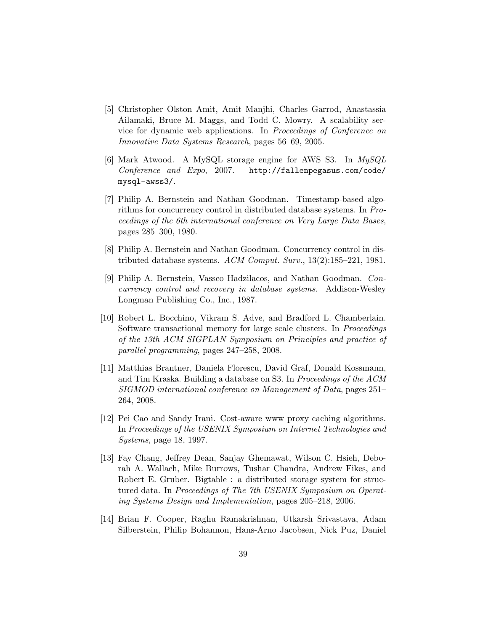- [5] Christopher Olston Amit, Amit Manjhi, Charles Garrod, Anastassia Ailamaki, Bruce M. Maggs, and Todd C. Mowry. A scalability service for dynamic web applications. In Proceedings of Conference on Innovative Data Systems Research, pages 56–69, 2005.
- [6] Mark Atwood. A MySQL storage engine for AWS S3. In MySQL Conference and Expo, 2007. http://fallenpegasus.com/code/ mysql-awss3/.
- [7] Philip A. Bernstein and Nathan Goodman. Timestamp-based algorithms for concurrency control in distributed database systems. In Proceedings of the 6th international conference on Very Large Data Bases, pages 285–300, 1980.
- [8] Philip A. Bernstein and Nathan Goodman. Concurrency control in distributed database systems. ACM Comput. Surv., 13(2):185–221, 1981.
- [9] Philip A. Bernstein, Vassco Hadzilacos, and Nathan Goodman. Concurrency control and recovery in database systems. Addison-Wesley Longman Publishing Co., Inc., 1987.
- [10] Robert L. Bocchino, Vikram S. Adve, and Bradford L. Chamberlain. Software transactional memory for large scale clusters. In Proceedings of the 13th ACM SIGPLAN Symposium on Principles and practice of parallel programming, pages 247–258, 2008.
- [11] Matthias Brantner, Daniela Florescu, David Graf, Donald Kossmann, and Tim Kraska. Building a database on S3. In Proceedings of the ACM SIGMOD international conference on Management of Data, pages 251– 264, 2008.
- [12] Pei Cao and Sandy Irani. Cost-aware www proxy caching algorithms. In Proceedings of the USENIX Symposium on Internet Technologies and Systems, page 18, 1997.
- [13] Fay Chang, Jeffrey Dean, Sanjay Ghemawat, Wilson C. Hsieh, Deborah A. Wallach, Mike Burrows, Tushar Chandra, Andrew Fikes, and Robert E. Gruber. Bigtable : a distributed storage system for structured data. In Proceedings of The 7th USENIX Symposium on Operating Systems Design and Implementation, pages 205–218, 2006.
- [14] Brian F. Cooper, Raghu Ramakrishnan, Utkarsh Srivastava, Adam Silberstein, Philip Bohannon, Hans-Arno Jacobsen, Nick Puz, Daniel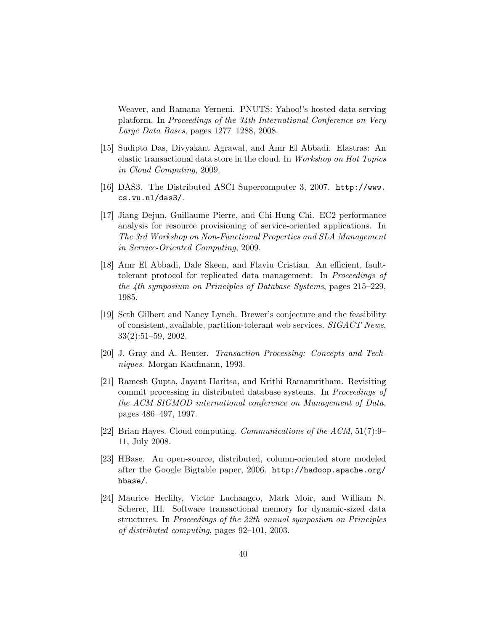Weaver, and Ramana Yerneni. PNUTS: Yahoo!'s hosted data serving platform. In Proceedings of the 34th International Conference on Very Large Data Bases, pages 1277–1288, 2008.

- [15] Sudipto Das, Divyakant Agrawal, and Amr El Abbadi. Elastras: An elastic transactional data store in the cloud. In Workshop on Hot Topics in Cloud Computing, 2009.
- [16] DAS3. The Distributed ASCI Supercomputer 3, 2007. http://www. cs.vu.nl/das3/.
- [17] Jiang Dejun, Guillaume Pierre, and Chi-Hung Chi. EC2 performance analysis for resource provisioning of service-oriented applications. In The 3rd Workshop on Non-Functional Properties and SLA Management in Service-Oriented Computing, 2009.
- [18] Amr El Abbadi, Dale Skeen, and Flaviu Cristian. An efficient, faulttolerant protocol for replicated data management. In Proceedings of the 4th symposium on Principles of Database Systems, pages 215–229, 1985.
- [19] Seth Gilbert and Nancy Lynch. Brewer's conjecture and the feasibility of consistent, available, partition-tolerant web services. SIGACT News, 33(2):51–59, 2002.
- [20] J. Gray and A. Reuter. Transaction Processing: Concepts and Techniques. Morgan Kaufmann, 1993.
- [21] Ramesh Gupta, Jayant Haritsa, and Krithi Ramamritham. Revisiting commit processing in distributed database systems. In Proceedings of the ACM SIGMOD international conference on Management of Data, pages 486–497, 1997.
- [22] Brian Hayes. Cloud computing. Communications of the ACM,  $51(7):9$ 11, July 2008.
- [23] HBase. An open-source, distributed, column-oriented store modeled after the Google Bigtable paper, 2006. http://hadoop.apache.org/ hbase/.
- [24] Maurice Herlihy, Victor Luchangco, Mark Moir, and William N. Scherer, III. Software transactional memory for dynamic-sized data structures. In Proceedings of the 22th annual symposium on Principles of distributed computing, pages 92–101, 2003.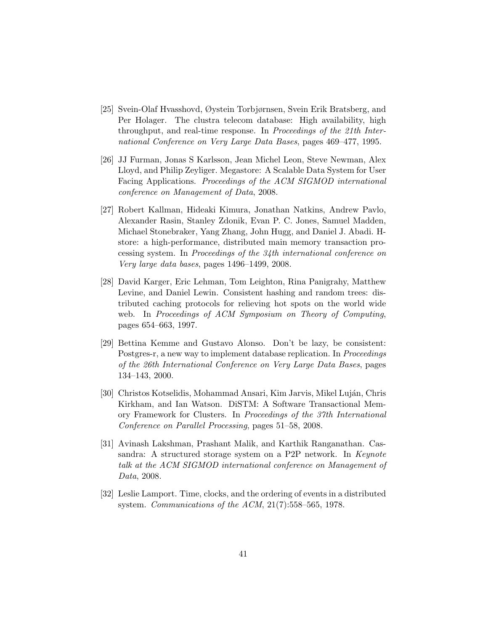- [25] Svein-Olaf Hvasshovd, Øystein Torbjørnsen, Svein Erik Bratsberg, and Per Holager. The clustra telecom database: High availability, high throughput, and real-time response. In Proceedings of the 21th International Conference on Very Large Data Bases, pages 469–477, 1995.
- [26] JJ Furman, Jonas S Karlsson, Jean Michel Leon, Steve Newman, Alex Lloyd, and Philip Zeyliger. Megastore: A Scalable Data System for User Facing Applications. Proceedings of the ACM SIGMOD international conference on Management of Data, 2008.
- [27] Robert Kallman, Hideaki Kimura, Jonathan Natkins, Andrew Pavlo, Alexander Rasin, Stanley Zdonik, Evan P. C. Jones, Samuel Madden, Michael Stonebraker, Yang Zhang, John Hugg, and Daniel J. Abadi. Hstore: a high-performance, distributed main memory transaction processing system. In Proceedings of the 34th international conference on Very large data bases, pages 1496–1499, 2008.
- [28] David Karger, Eric Lehman, Tom Leighton, Rina Panigrahy, Matthew Levine, and Daniel Lewin. Consistent hashing and random trees: distributed caching protocols for relieving hot spots on the world wide web. In Proceedings of ACM Symposium on Theory of Computing, pages 654–663, 1997.
- [29] Bettina Kemme and Gustavo Alonso. Don't be lazy, be consistent: Postgres-r, a new way to implement database replication. In Proceedings of the 26th International Conference on Very Large Data Bases, pages 134–143, 2000.
- [30] Christos Kotselidis, Mohammad Ansari, Kim Jarvis, Mikel Luján, Chris Kirkham, and Ian Watson. DiSTM: A Software Transactional Memory Framework for Clusters. In Proceedings of the 37th International Conference on Parallel Processing, pages 51–58, 2008.
- [31] Avinash Lakshman, Prashant Malik, and Karthik Ranganathan. Cassandra: A structured storage system on a P2P network. In Keynote talk at the ACM SIGMOD international conference on Management of Data, 2008.
- [32] Leslie Lamport. Time, clocks, and the ordering of events in a distributed system. Communications of the ACM, 21(7):558–565, 1978.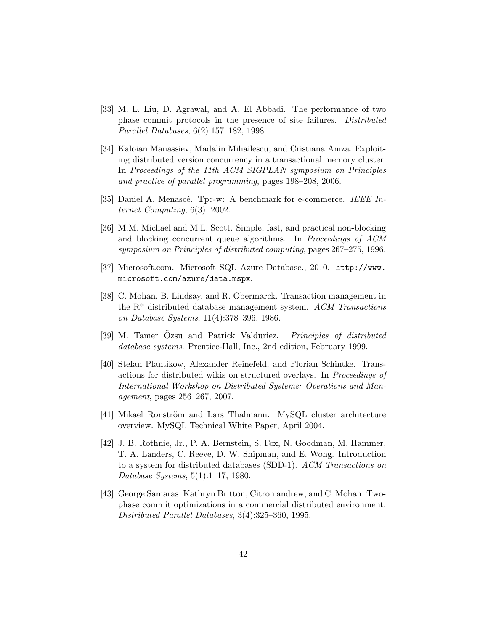- [33] M. L. Liu, D. Agrawal, and A. El Abbadi. The performance of two phase commit protocols in the presence of site failures. Distributed Parallel Databases, 6(2):157–182, 1998.
- [34] Kaloian Manassiev, Madalin Mihailescu, and Cristiana Amza. Exploiting distributed version concurrency in a transactional memory cluster. In Proceedings of the 11th ACM SIGPLAN symposium on Principles and practice of parallel programming, pages 198–208, 2006.
- [35] Daniel A. Menascé. Tpc-w: A benchmark for e-commerce. IEEE Internet Computing, 6(3), 2002.
- [36] M.M. Michael and M.L. Scott. Simple, fast, and practical non-blocking and blocking concurrent queue algorithms. In Proceedings of ACM symposium on Principles of distributed computing, pages 267–275, 1996.
- [37] Microsoft.com. Microsoft SQL Azure Database., 2010. http://www. microsoft.com/azure/data.mspx.
- [38] C. Mohan, B. Lindsay, and R. Obermarck. Transaction management in the  $R^*$  distributed database management system. ACM Transactions on Database Systems, 11(4):378–396, 1986.
- [39] M. Tamer Ozsu and Patrick Valduriez. Principles of distributed database systems. Prentice-Hall, Inc., 2nd edition, February 1999.
- [40] Stefan Plantikow, Alexander Reinefeld, and Florian Schintke. Transactions for distributed wikis on structured overlays. In Proceedings of International Workshop on Distributed Systems: Operations and Management, pages 256–267, 2007.
- [41] Mikael Ronström and Lars Thalmann. MySQL cluster architecture overview. MySQL Technical White Paper, April 2004.
- [42] J. B. Rothnie, Jr., P. A. Bernstein, S. Fox, N. Goodman, M. Hammer, T. A. Landers, C. Reeve, D. W. Shipman, and E. Wong. Introduction to a system for distributed databases (SDD-1). ACM Transactions on Database Systems, 5(1):1–17, 1980.
- [43] George Samaras, Kathryn Britton, Citron andrew, and C. Mohan. Twophase commit optimizations in a commercial distributed environment. Distributed Parallel Databases, 3(4):325–360, 1995.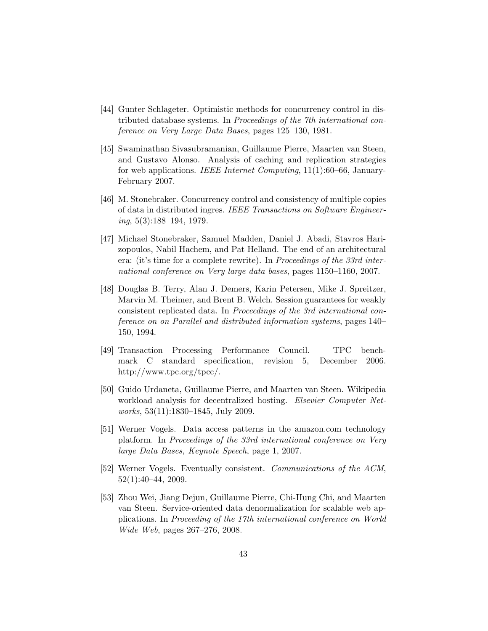- [44] Gunter Schlageter. Optimistic methods for concurrency control in distributed database systems. In Proceedings of the 7th international conference on Very Large Data Bases, pages 125–130, 1981.
- [45] Swaminathan Sivasubramanian, Guillaume Pierre, Maarten van Steen, and Gustavo Alonso. Analysis of caching and replication strategies for web applications. IEEE Internet Computing, 11(1):60–66, January-February 2007.
- [46] M. Stonebraker. Concurrency control and consistency of multiple copies of data in distributed ingres. IEEE Transactions on Software Engineer $ing, 5(3):188-194, 1979.$
- [47] Michael Stonebraker, Samuel Madden, Daniel J. Abadi, Stavros Harizopoulos, Nabil Hachem, and Pat Helland. The end of an architectural era: (it's time for a complete rewrite). In Proceedings of the 33rd international conference on Very large data bases, pages 1150–1160, 2007.
- [48] Douglas B. Terry, Alan J. Demers, Karin Petersen, Mike J. Spreitzer, Marvin M. Theimer, and Brent B. Welch. Session guarantees for weakly consistent replicated data. In Proceedings of the 3rd international conference on on Parallel and distributed information systems, pages 140– 150, 1994.
- [49] Transaction Processing Performance Council. TPC benchmark C standard specification, revision 5, December 2006. http://www.tpc.org/tpcc/.
- [50] Guido Urdaneta, Guillaume Pierre, and Maarten van Steen. Wikipedia workload analysis for decentralized hosting. Elsevier Computer Networks, 53(11):1830–1845, July 2009.
- [51] Werner Vogels. Data access patterns in the amazon.com technology platform. In Proceedings of the 33rd international conference on Very large Data Bases, Keynote Speech, page 1, 2007.
- [52] Werner Vogels. Eventually consistent. Communications of the ACM, 52(1):40–44, 2009.
- [53] Zhou Wei, Jiang Dejun, Guillaume Pierre, Chi-Hung Chi, and Maarten van Steen. Service-oriented data denormalization for scalable web applications. In Proceeding of the 17th international conference on World Wide Web, pages 267–276, 2008.